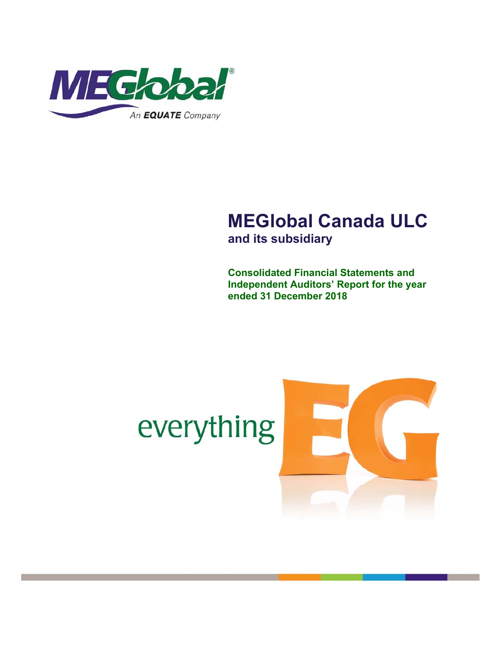

# **MEGlobal Canada ULC**

**and its subsidiary**

**Consolidated Financial Statements and Independent Auditors' Report for the year ended 31 December 2018**

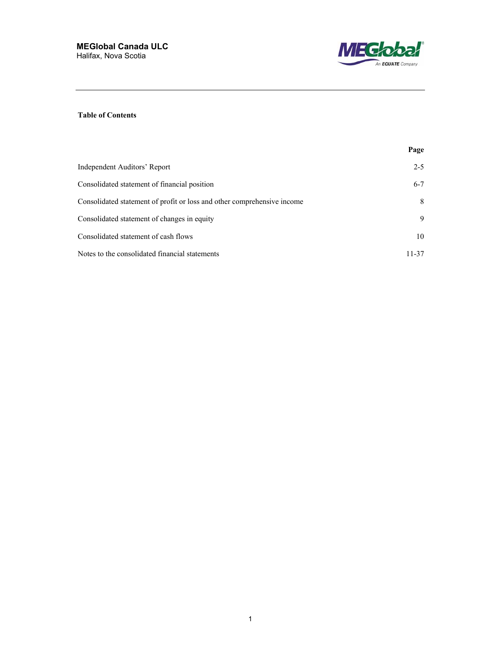

#### **Table of Contents**

|                                                                         | Page      |
|-------------------------------------------------------------------------|-----------|
| Independent Auditors' Report                                            | $2 - 5$   |
| Consolidated statement of financial position                            | $6 - 7$   |
| Consolidated statement of profit or loss and other comprehensive income | 8         |
| Consolidated statement of changes in equity                             | 9         |
| Consolidated statement of cash flows                                    | 10        |
| Notes to the consolidated financial statements                          | $11 - 37$ |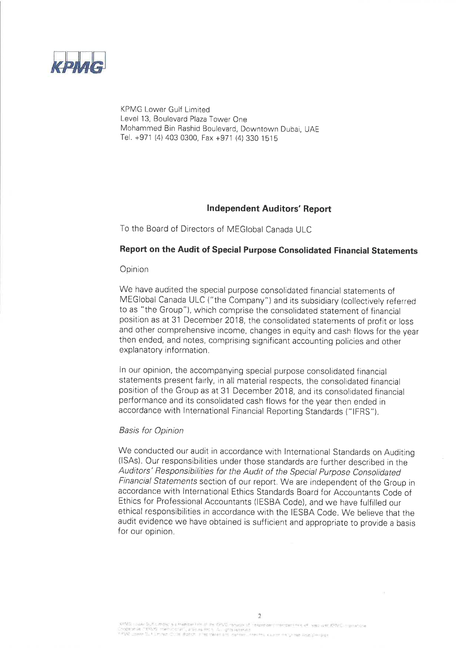

**KPMG Lower Gulf Limited** Level 13, Boulevard Plaza Tower One Mohammed Bin Rashid Boulevard, Downtown Dubai, UAE Tel. +971 (4) 403 0300, Fax +971 (4) 330 1515

## **Independent Auditors' Report**

To the Board of Directors of MEGlobal Canada UI C

## Report on the Audit of Special Purpose Consolidated Financial Statements

#### Opinion

We have audited the special purpose consolidated financial statements of MEGlobal Canada ULC ("the Company") and its subsidiary (collectively referred to as "the Group"), which comprise the consolidated statement of financial position as at 31 December 2018, the consolidated statements of profit or loss and other comprehensive income, changes in equity and cash flows for the year then ended, and notes, comprising significant accounting policies and other explanatory information.

In our opinion, the accompanying special purpose consolidated financial statements present fairly, in all material respects, the consolidated financial position of the Group as at 31 December 2018, and its consolidated financial performance and its consolidated cash flows for the year then ended in accordance with International Financial Reporting Standards ("IFRS").

#### **Basis for Opinion**

We conducted our audit in accordance with International Standards on Auditing (ISAs). Our responsibilities under those standards are further described in the Auditors' Responsibilities for the Audit of the Special Purpose Consolidated Financial Statements section of our report. We are independent of the Group in accordance with International Ethics Standards Board for Accountants Code of Ethics for Professional Accountants (IESBA Code), and we have fulfilled our ethical responsibilities in accordance with the IESBA Code. We believe that the audit evidence we have obtained is sufficient and appropriate to provide a basis for our opinion.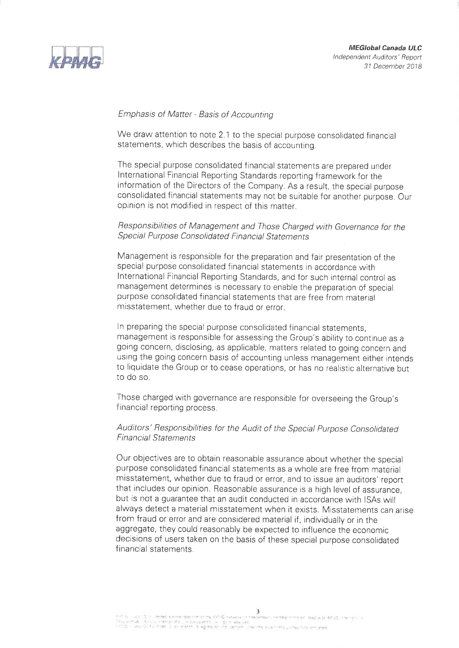

### **Emphasis of Matter - Basis of Accounting**

We draw attention to note 2.1 to the special purpose consolidated financial statements, which describes the basis of accounting.

The special purpose consolidated financial statements are prepared under International Financial Reporting Standards reporting framework for the information of the Directors of the Company. As a result, the special purpose consolidated financial statements may not be suitable for another purpose. Our opinion is not modified in respect of this matter.

## Responsibilities of Management and Those Charged with Governance for the Special Purpose Consolidated Financial Statements

Management is responsible for the preparation and fair presentation of the special purpose consolidated financial statements in accordance with International Financial Reporting Standards, and for such internal control as management determines is necessary to enable the preparation of special purpose consolidated financial statements that are free from material misstatement, whether due to fraud or error.

In preparing the special purpose consolidated financial statements, management is responsible for assessing the Group's ability to continue as a going concern, disclosing, as applicable, matters related to going concern and using the going concern basis of accounting unless management either intends to liquidate the Group or to cease operations, or has no realistic alternative but to do so.

Those charged with governance are responsible for overseeing the Group's financial reporting process.

## Auditors' Responsibilities for the Audit of the Special Purpose Consolidated **Financial Statements**

Our objectives are to obtain reasonable assurance about whether the special purpose consolidated financial statements as a whole are free from material misstatement, whether due to fraud or error, and to issue an auditors' report that includes our opinion. Reasonable assurance is a high level of assurance, but is not a guarantee that an audit conducted in accordance with ISAs will always detect a material misstatement when it exists. Misstatements can arise from fraud or error and are considered material if, individually or in the aggregate, they could reasonably be expected to influence the economic decisions of users taken on the basis of these special purpose consolidated financial statements.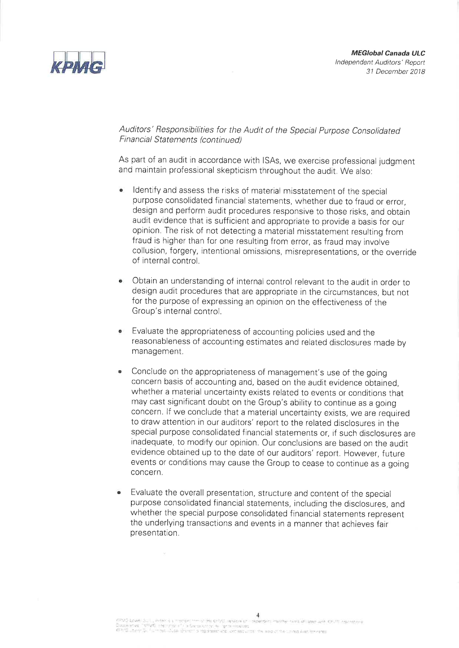

## Auditors' Responsibilities for the Audit of the Special Purpose Consolidated Financial Statements (continued)

As part of an audit in accordance with ISAs, we exercise professional judgment and maintain professional skepticism throughout the audit. We also:

- Identify and assess the risks of material misstatement of the special purpose consolidated financial statements, whether due to fraud or error, design and perform audit procedures responsive to those risks, and obtain audit evidence that is sufficient and appropriate to provide a basis for our opinion. The risk of not detecting a material misstatement resulting from fraud is higher than for one resulting from error, as fraud may involve collusion, forgery, intentional omissions, misrepresentations, or the override of internal control.
- $\bullet$ Obtain an understanding of internal control relevant to the audit in order to design audit procedures that are appropriate in the circumstances, but not for the purpose of expressing an opinion on the effectiveness of the Group's internal control.
- Evaluate the appropriateness of accounting policies used and the reasonableness of accounting estimates and related disclosures made by management.
- Conclude on the appropriateness of management's use of the going concern basis of accounting and, based on the audit evidence obtained, whether a material uncertainty exists related to events or conditions that may cast significant doubt on the Group's ability to continue as a going concern. If we conclude that a material uncertainty exists, we are required to draw attention in our auditors' report to the related disclosures in the special purpose consolidated financial statements or, if such disclosures are inadequate, to modify our opinion. Our conclusions are based on the audit evidence obtained up to the date of our auditors' report. However, future events or conditions may cause the Group to cease to continue as a going concern.
- Evaluate the overall presentation, structure and content of the special purpose consolidated financial statements, including the disclosures, and whether the special purpose consolidated financial statements represent the underlying transactions and events in a manner that achieves fair presentation.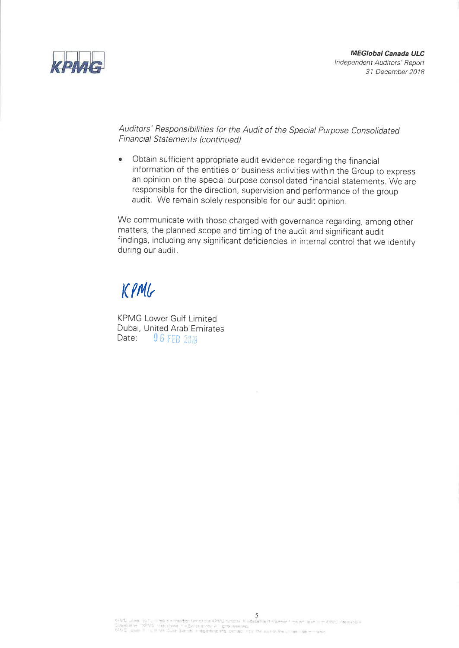

## Auditors' Responsibilities for the Audit of the Special Purpose Consolidated Financial Statements (continued)

 $\bullet$ Obtain sufficient appropriate audit evidence regarding the financial information of the entities or business activities within the Group to express an opinion on the special purpose consolidated financial statements. We are responsible for the direction, supervision and performance of the group audit. We remain solely responsible for our audit opinion.

We communicate with those charged with governance regarding, among other matters, the planned scope and timing of the audit and significant audit findings, including any significant deficiencies in internal control that we identify during our audit.

## $KPMG$

**KPMG Lower Gulf Limited** Dubai, United Arab Emirates Date: 06 FEB 2019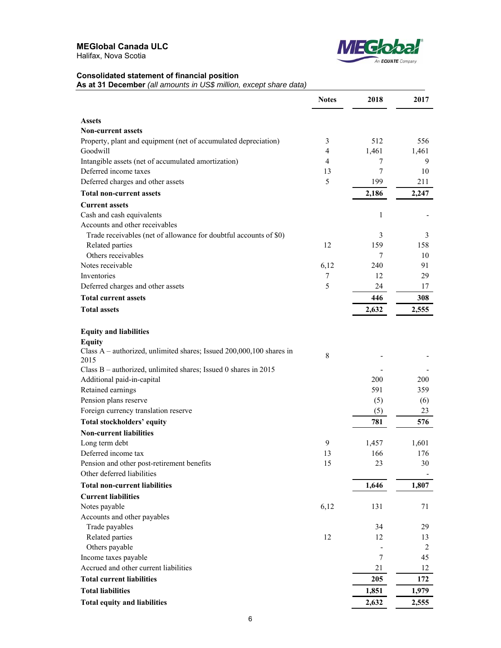

#### **Consolidated statement of financial position**

**As at 31 December** *(all amounts in US\$ million, except share data)* 

|                                                                              | <b>Notes</b>   | 2018  | 2017  |
|------------------------------------------------------------------------------|----------------|-------|-------|
| <b>Assets</b>                                                                |                |       |       |
| <b>Non-current assets</b>                                                    |                |       |       |
| Property, plant and equipment (net of accumulated depreciation)              | 3              | 512   | 556   |
| Goodwill                                                                     | 4              | 1,461 | 1,461 |
| Intangible assets (net of accumulated amortization)                          | $\overline{4}$ | 7     | 9     |
| Deferred income taxes                                                        | 13             | 7     | 10    |
| Deferred charges and other assets                                            | 5              | 199   | 211   |
| <b>Total non-current assets</b>                                              |                | 2,186 | 2,247 |
| <b>Current assets</b>                                                        |                |       |       |
| Cash and cash equivalents                                                    |                | 1     |       |
| Accounts and other receivables                                               |                |       |       |
| Trade receivables (net of allowance for doubtful accounts of \$0)            |                | 3     | 3     |
| Related parties                                                              | 12             | 159   | 158   |
| Others receivables                                                           |                | 7     | 10    |
| Notes receivable                                                             | 6,12           | 240   | 91    |
| Inventories                                                                  | 7              | 12    | 29    |
| Deferred charges and other assets                                            | 5              | 24    | 17    |
| <b>Total current assets</b>                                                  |                | 446   | 308   |
| <b>Total assets</b>                                                          |                | 2,632 | 2,555 |
|                                                                              |                |       |       |
| <b>Equity and liabilities</b>                                                |                |       |       |
| <b>Equity</b>                                                                |                |       |       |
| Class A – authorized, unlimited shares; Issued 200,000,100 shares in<br>2015 | 8              |       |       |
| Class B – authorized, unlimited shares; Issued 0 shares in 2015              |                |       |       |
| Additional paid-in-capital                                                   |                | 200   | 200   |
| Retained earnings                                                            |                | 591   | 359   |
| Pension plans reserve                                                        |                | (5)   | (6)   |
| Foreign currency translation reserve                                         |                | (5)   | 23    |
| Total stockholders' equity                                                   |                | 781   | 576   |
| <b>Non-current liabilities</b>                                               |                |       |       |
| Long term debt                                                               | 9              | 1,457 | 1,601 |
| Deferred income tax                                                          | 13             | 166   | 176   |
| Pension and other post-retirement benefits                                   | 15             | 23    | 30    |
| Other deferred liabilities                                                   |                |       |       |
| <b>Total non-current liabilities</b>                                         |                | 1,646 | 1,807 |
| <b>Current liabilities</b>                                                   |                |       |       |
| Notes payable                                                                | 6,12           | 131   | 71    |
| Accounts and other payables                                                  |                |       |       |
| Trade payables                                                               |                | 34    | 29    |
| Related parties                                                              | 12             | 12    | 13    |
| Others payable                                                               |                |       | 2     |
| Income taxes payable                                                         |                | 7     | 45    |
| Accrued and other current liabilities                                        |                | 21    | 12    |
| <b>Total current liabilities</b>                                             |                | 205   | 172   |
| <b>Total liabilities</b>                                                     |                | 1,851 | 1,979 |
| <b>Total equity and liabilities</b>                                          |                | 2,632 | 2,555 |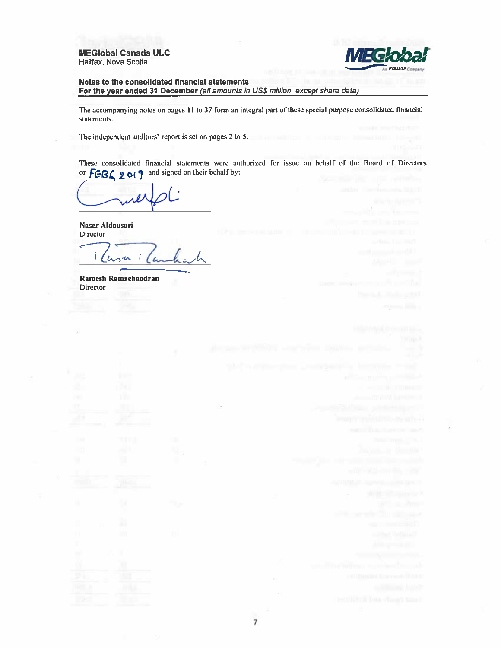

The accompanying notes on pages 11 to 37 form an integral part of these special purpose consolidated financial statements.

The independent auditors' report is set on pages 2 to 5.

These consolidated financial statements were authorized for issue on behalf of the Board of Directors on FGB6, 2 ot 9 and signed on their behalf by:

Naser Aldousari Director

 $\mathsf{L}_\ell$ - 1  $\sim$ W  $\epsilon$ 

Ramesh Ramachandran Director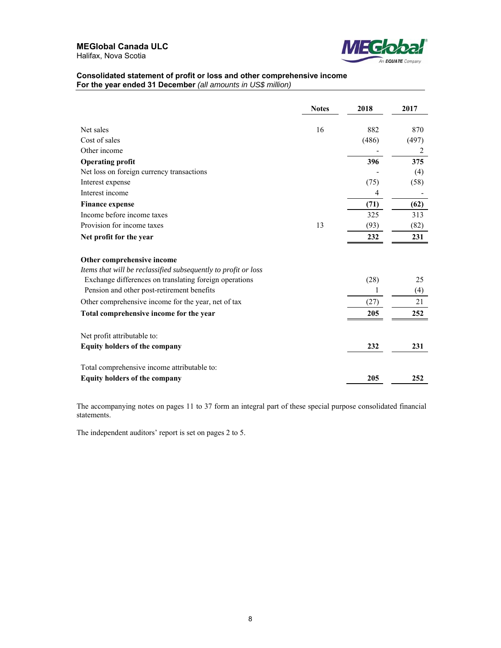

#### **Consolidated statement of profit or loss and other comprehensive income For the year ended 31 December** *(all amounts in US\$ million)*

|                                                                                              | <b>Notes</b> | 2018  | 2017  |
|----------------------------------------------------------------------------------------------|--------------|-------|-------|
| Net sales                                                                                    | 16           | 882   | 870   |
| Cost of sales                                                                                |              | (486) | (497) |
| Other income                                                                                 |              |       | 2     |
| <b>Operating profit</b>                                                                      |              | 396   | 375   |
| Net loss on foreign currency transactions                                                    |              |       | (4)   |
| Interest expense                                                                             |              | (75)  | (58)  |
| Interest income                                                                              |              | 4     |       |
| <b>Finance expense</b>                                                                       |              | (71)  | (62)  |
| Income before income taxes                                                                   |              | 325   | 313   |
| Provision for income taxes                                                                   | 13           | (93)  | (82)  |
| Net profit for the year                                                                      |              | 232   | 231   |
| Other comprehensive income<br>Items that will be reclassified subsequently to profit or loss |              |       |       |
| Exchange differences on translating foreign operations                                       |              | (28)  | 25    |
| Pension and other post-retirement benefits                                                   |              | 1     | (4)   |
| Other comprehensive income for the year, net of tax                                          |              | (27)  | 21    |
| Total comprehensive income for the year                                                      |              | 205   | 252   |
| Net profit attributable to:                                                                  |              |       |       |
| <b>Equity holders of the company</b>                                                         |              | 232   | 231   |
| Total comprehensive income attributable to:                                                  |              |       |       |
| <b>Equity holders of the company</b>                                                         |              | 205   | 252   |

The accompanying notes on pages 11 to 37 form an integral part of these special purpose consolidated financial statements.

The independent auditors' report is set on pages 2 to 5.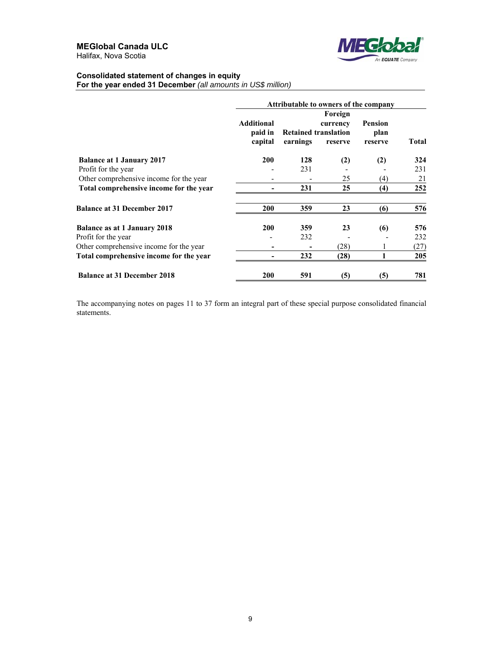

#### **Consolidated statement of changes in equity For the year ended 31 December** *(all amounts in US\$ million)*

|                                         | Attributable to owners of the company   |                                         |                                |                                   |       |
|-----------------------------------------|-----------------------------------------|-----------------------------------------|--------------------------------|-----------------------------------|-------|
|                                         | <b>Additional</b><br>paid in<br>capital | <b>Retained translation</b><br>earnings | Foreign<br>currency<br>reserve | <b>Pension</b><br>plan<br>reserve | Total |
| <b>Balance at 1 January 2017</b>        | <b>200</b>                              | 128                                     | (2)                            | (2)                               | 324   |
| Profit for the year                     |                                         | 231                                     |                                |                                   | 231   |
| Other comprehensive income for the year |                                         |                                         | 25                             | $\left( 4\right)$                 | 21    |
| Total comprehensive income for the year |                                         | 231                                     | 25                             | (4)                               | 252   |
| <b>Balance at 31 December 2017</b>      | <b>200</b>                              | 359                                     | 23                             | (6)                               | 576   |
| <b>Balance as at 1 January 2018</b>     | <b>200</b>                              | 359                                     | 23                             | (6)                               | 576   |
| Profit for the year                     |                                         | 232                                     |                                |                                   | 232   |
| Other comprehensive income for the year |                                         |                                         | (28)                           |                                   | (27)  |
| Total comprehensive income for the year |                                         | 232                                     | (28)                           |                                   | 205   |
| <b>Balance at 31 December 2018</b>      | <b>200</b>                              | 591                                     | (5)                            | (5)                               | 781   |

The accompanying notes on pages 11 to 37 form an integral part of these special purpose consolidated financial statements.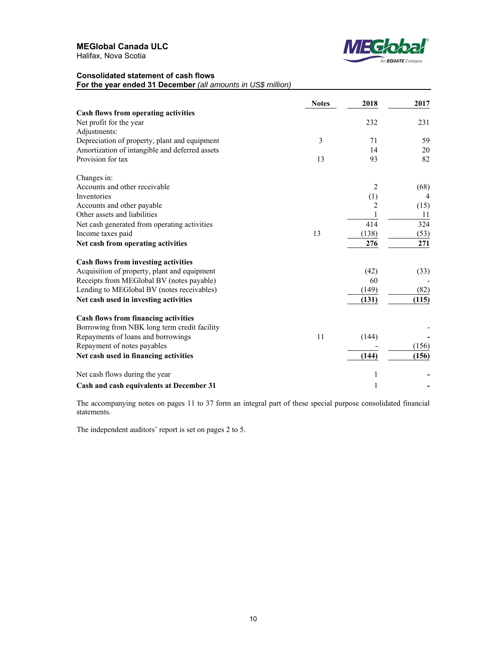

#### **Consolidated statement of cash flows**

**For the year ended 31 December** *(all amounts in US\$ million)* 

|                                                | <b>Notes</b> | 2018             | 2017  |
|------------------------------------------------|--------------|------------------|-------|
| <b>Cash flows from operating activities</b>    |              |                  |       |
| Net profit for the year                        |              | 232              | 231   |
| Adjustments:                                   |              |                  |       |
| Depreciation of property, plant and equipment  | 3            | 71               | 59    |
| Amortization of intangible and deferred assets |              | 14               | 20    |
| Provision for tax                              | 13           | 93               | 82    |
| Changes in:                                    |              |                  |       |
| Accounts and other receivable                  |              | 2                | (68)  |
| Inventories                                    |              | (1)              | 4     |
| Accounts and other payable                     |              | $\boldsymbol{2}$ | (15)  |
| Other assets and liabilities                   |              |                  | 11    |
| Net cash generated from operating activities   |              | 414              | 324   |
| Income taxes paid                              | 13           | (138)            | (53)  |
| Net cash from operating activities             |              | 276              | 271   |
| <b>Cash flows from investing activities</b>    |              |                  |       |
| Acquisition of property, plant and equipment   |              | (42)             | (33)  |
| Receipts from MEGlobal BV (notes payable)      |              | 60               |       |
| Lending to MEGlobal BV (notes receivables)     |              | (149)            | (82)  |
| Net cash used in investing activities          |              | (131)            | (115) |
| <b>Cash flows from financing activities</b>    |              |                  |       |
| Borrowing from NBK long term credit facility   |              |                  |       |
| Repayments of loans and borrowings             | 11           | (144)            |       |
| Repayment of notes payables                    |              |                  | (156) |
| Net cash used in financing activities          |              | (144)            | (156) |
| Net cash flows during the year                 |              | 1                |       |
| Cash and cash equivalents at December 31       |              | 1                |       |

The accompanying notes on pages 11 to 37 form an integral part of these special purpose consolidated financial statements.

The independent auditors' report is set on pages 2 to 5.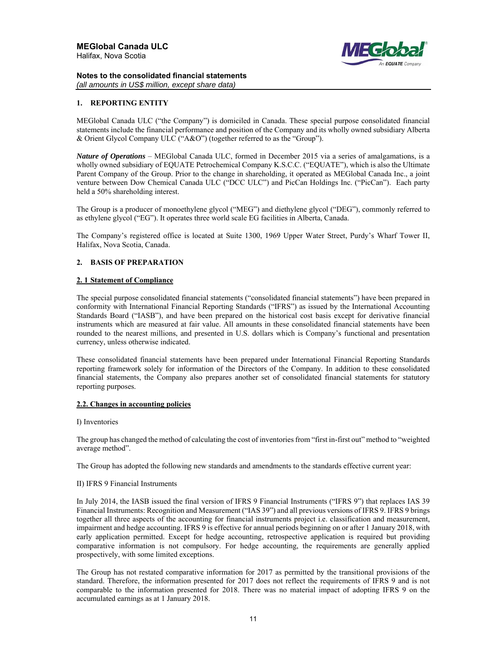

**Notes to the consolidated financial statements**  *(all amounts in US\$ million, except share data)* 

#### **1. REPORTING ENTITY**

MEGlobal Canada ULC ("the Company") is domiciled in Canada. These special purpose consolidated financial statements include the financial performance and position of the Company and its wholly owned subsidiary Alberta & Orient Glycol Company ULC ("A&O") (together referred to as the "Group").

*Nature of Operations* – MEGlobal Canada ULC, formed in December 2015 via a series of amalgamations, is a wholly owned subsidiary of EQUATE Petrochemical Company K.S.C.C. ("EQUATE"), which is also the Ultimate Parent Company of the Group. Prior to the change in shareholding, it operated as MEGlobal Canada Inc., a joint venture between Dow Chemical Canada ULC ("DCC ULC") and PicCan Holdings Inc. ("PicCan"). Each party held a 50% shareholding interest.

The Group is a producer of monoethylene glycol ("MEG") and diethylene glycol ("DEG"), commonly referred to as ethylene glycol ("EG"). It operates three world scale EG facilities in Alberta, Canada.

The Company's registered office is located at Suite 1300, 1969 Upper Water Street, Purdy's Wharf Tower II, Halifax, Nova Scotia, Canada.

#### **2. BASIS OF PREPARATION**

#### **2. 1 Statement of Compliance**

The special purpose consolidated financial statements ("consolidated financial statements") have been prepared in conformity with International Financial Reporting Standards ("IFRS") as issued by the International Accounting Standards Board ("IASB"), and have been prepared on the historical cost basis except for derivative financial instruments which are measured at fair value. All amounts in these consolidated financial statements have been rounded to the nearest millions, and presented in U.S. dollars which is Company's functional and presentation currency, unless otherwise indicated.

These consolidated financial statements have been prepared under International Financial Reporting Standards reporting framework solely for information of the Directors of the Company. In addition to these consolidated financial statements, the Company also prepares another set of consolidated financial statements for statutory reporting purposes.

#### **2.2. Changes in accounting policies**

I) Inventories

The group has changed the method of calculating the cost of inventories from "first in-first out" method to "weighted average method".

The Group has adopted the following new standards and amendments to the standards effective current year:

#### II) IFRS 9 Financial Instruments

In July 2014, the IASB issued the final version of IFRS 9 Financial Instruments ("IFRS 9") that replaces IAS 39 Financial Instruments: Recognition and Measurement ("IAS 39") and all previous versions of IFRS 9. IFRS 9 brings together all three aspects of the accounting for financial instruments project i.e. classification and measurement, impairment and hedge accounting. IFRS 9 is effective for annual periods beginning on or after 1 January 2018, with early application permitted. Except for hedge accounting, retrospective application is required but providing comparative information is not compulsory. For hedge accounting, the requirements are generally applied prospectively, with some limited exceptions.

The Group has not restated comparative information for 2017 as permitted by the transitional provisions of the standard. Therefore, the information presented for 2017 does not reflect the requirements of IFRS 9 and is not comparable to the information presented for 2018. There was no material impact of adopting IFRS 9 on the accumulated earnings as at 1 January 2018.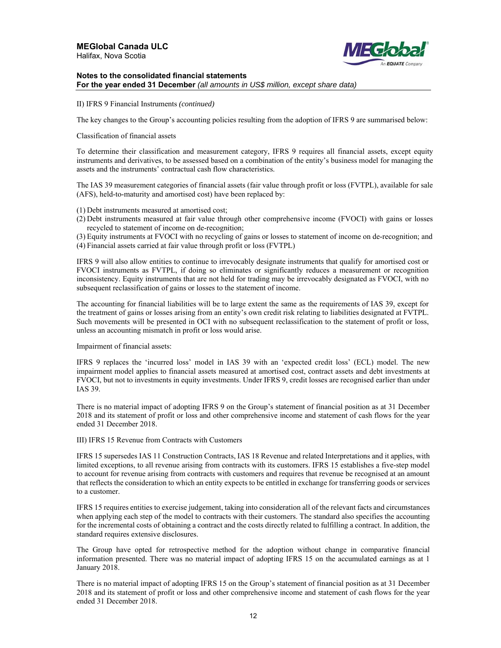

#### II) IFRS 9 Financial Instruments *(continued)*

The key changes to the Group's accounting policies resulting from the adoption of IFRS 9 are summarised below:

Classification of financial assets

To determine their classification and measurement category, IFRS 9 requires all financial assets, except equity instruments and derivatives, to be assessed based on a combination of the entity's business model for managing the assets and the instruments' contractual cash flow characteristics.

The IAS 39 measurement categories of financial assets (fair value through profit or loss (FVTPL), available for sale (AFS), held-to-maturity and amortised cost) have been replaced by:

- (1) Debt instruments measured at amortised cost;
- (2) Debt instruments measured at fair value through other comprehensive income (FVOCI) with gains or losses recycled to statement of income on de-recognition;
- (3) Equity instruments at FVOCI with no recycling of gains or losses to statement of income on de-recognition; and
- (4) Financial assets carried at fair value through profit or loss (FVTPL)

IFRS 9 will also allow entities to continue to irrevocably designate instruments that qualify for amortised cost or FVOCI instruments as FVTPL, if doing so eliminates or significantly reduces a measurement or recognition inconsistency. Equity instruments that are not held for trading may be irrevocably designated as FVOCI, with no subsequent reclassification of gains or losses to the statement of income.

The accounting for financial liabilities will be to large extent the same as the requirements of IAS 39, except for the treatment of gains or losses arising from an entity's own credit risk relating to liabilities designated at FVTPL. Such movements will be presented in OCI with no subsequent reclassification to the statement of profit or loss, unless an accounting mismatch in profit or loss would arise.

Impairment of financial assets:

IFRS 9 replaces the 'incurred loss' model in IAS 39 with an 'expected credit loss' (ECL) model. The new impairment model applies to financial assets measured at amortised cost, contract assets and debt investments at FVOCI, but not to investments in equity investments. Under IFRS 9, credit losses are recognised earlier than under IAS 39.

There is no material impact of adopting IFRS 9 on the Group's statement of financial position as at 31 December 2018 and its statement of profit or loss and other comprehensive income and statement of cash flows for the year ended 31 December 2018.

III) IFRS 15 Revenue from Contracts with Customers

IFRS 15 supersedes IAS 11 Construction Contracts, IAS 18 Revenue and related Interpretations and it applies, with limited exceptions, to all revenue arising from contracts with its customers. IFRS 15 establishes a five-step model to account for revenue arising from contracts with customers and requires that revenue be recognised at an amount that reflects the consideration to which an entity expects to be entitled in exchange for transferring goods or services to a customer.

IFRS 15 requires entities to exercise judgement, taking into consideration all of the relevant facts and circumstances when applying each step of the model to contracts with their customers. The standard also specifies the accounting for the incremental costs of obtaining a contract and the costs directly related to fulfilling a contract. In addition, the standard requires extensive disclosures.

The Group have opted for retrospective method for the adoption without change in comparative financial information presented. There was no material impact of adopting IFRS 15 on the accumulated earnings as at 1 January 2018.

There is no material impact of adopting IFRS 15 on the Group's statement of financial position as at 31 December 2018 and its statement of profit or loss and other comprehensive income and statement of cash flows for the year ended 31 December 2018.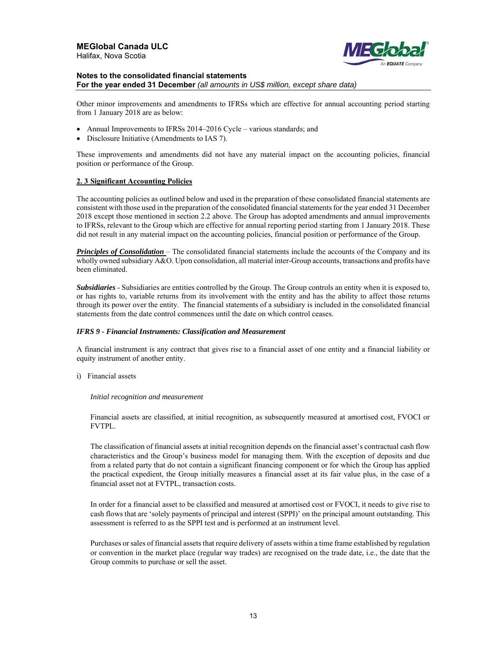

Other minor improvements and amendments to IFRSs which are effective for annual accounting period starting from 1 January 2018 are as below:

- Annual Improvements to IFRSs 2014–2016 Cycle various standards; and
- Disclosure Initiative (Amendments to IAS 7).

These improvements and amendments did not have any material impact on the accounting policies, financial position or performance of the Group.

#### **2. 3 Significant Accounting Policies**

The accounting policies as outlined below and used in the preparation of these consolidated financial statements are consistent with those used in the preparation of the consolidated financial statements for the year ended 31 December 2018 except those mentioned in section 2.2 above. The Group has adopted amendments and annual improvements to IFRSs, relevant to the Group which are effective for annual reporting period starting from 1 January 2018. These did not result in any material impact on the accounting policies, financial position or performance of the Group.

*Principles of Consolidation* – The consolidated financial statements include the accounts of the Company and its wholly owned subsidiary A&O. Upon consolidation, all material inter-Group accounts, transactions and profits have been eliminated.

*Subsidiaries* - Subsidiaries are entities controlled by the Group. The Group controls an entity when it is exposed to, or has rights to, variable returns from its involvement with the entity and has the ability to affect those returns through its power over the entity. The financial statements of a subsidiary is included in the consolidated financial statements from the date control commences until the date on which control ceases.

#### *IFRS 9 - Financial Instruments: Classification and Measurement*

A financial instrument is any contract that gives rise to a financial asset of one entity and a financial liability or equity instrument of another entity.

i) Financial assets

#### *Initial recognition and measurement*

Financial assets are classified, at initial recognition, as subsequently measured at amortised cost, FVOCI or FVTPL.

The classification of financial assets at initial recognition depends on the financial asset's contractual cash flow characteristics and the Group's business model for managing them. With the exception of deposits and due from a related party that do not contain a significant financing component or for which the Group has applied the practical expedient, the Group initially measures a financial asset at its fair value plus, in the case of a financial asset not at FVTPL, transaction costs.

In order for a financial asset to be classified and measured at amortised cost or FVOCI, it needs to give rise to cash flows that are 'solely payments of principal and interest (SPPI)' on the principal amount outstanding. This assessment is referred to as the SPPI test and is performed at an instrument level.

Purchases or sales of financial assets that require delivery of assets within a time frame established by regulation or convention in the market place (regular way trades) are recognised on the trade date, i.e., the date that the Group commits to purchase or sell the asset.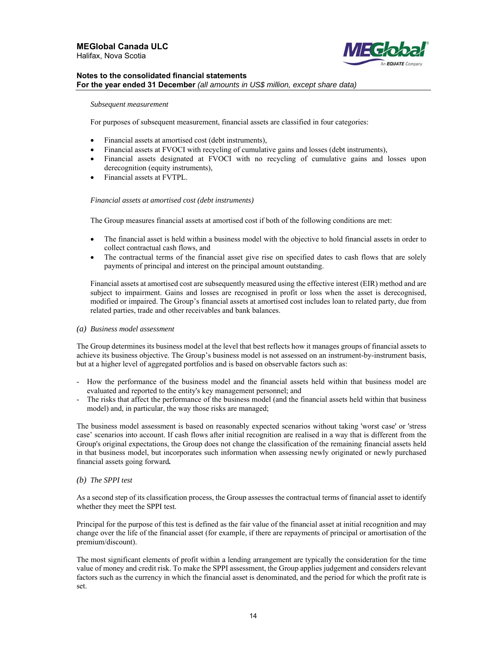

#### *Subsequent measurement*

For purposes of subsequent measurement, financial assets are classified in four categories:

- Financial assets at amortised cost (debt instruments),
- Financial assets at FVOCI with recycling of cumulative gains and losses (debt instruments),
- Financial assets designated at FVOCI with no recycling of cumulative gains and losses upon derecognition (equity instruments).
- Financial assets at FVTPL.

#### *Financial assets at amortised cost (debt instruments)*

The Group measures financial assets at amortised cost if both of the following conditions are met:

- The financial asset is held within a business model with the objective to hold financial assets in order to collect contractual cash flows, and
- The contractual terms of the financial asset give rise on specified dates to cash flows that are solely payments of principal and interest on the principal amount outstanding.

Financial assets at amortised cost are subsequently measured using the effective interest (EIR) method and are subject to impairment. Gains and losses are recognised in profit or loss when the asset is derecognised, modified or impaired. The Group's financial assets at amortised cost includes loan to related party, due from related parties, trade and other receivables and bank balances.

*(a) Business model assessment* 

The Group determines its business model at the level that best reflects how it manages groups of financial assets to achieve its business objective. The Group's business model is not assessed on an instrument-by-instrument basis, but at a higher level of aggregated portfolios and is based on observable factors such as:

- How the performance of the business model and the financial assets held within that business model are evaluated and reported to the entity's key management personnel; and
- The risks that affect the performance of the business model (and the financial assets held within that business model) and, in particular, the way those risks are managed;

The business model assessment is based on reasonably expected scenarios without taking 'worst case' or 'stress case' scenarios into account. If cash flows after initial recognition are realised in a way that is different from the Group's original expectations, the Group does not change the classification of the remaining financial assets held in that business model, but incorporates such information when assessing newly originated or newly purchased financial assets going forward*.* 

#### *(b) The SPPI test*

As a second step of its classification process, the Group assesses the contractual terms of financial asset to identify whether they meet the SPPI test.

Principal for the purpose of this test is defined as the fair value of the financial asset at initial recognition and may change over the life of the financial asset (for example, if there are repayments of principal or amortisation of the premium/discount).

The most significant elements of profit within a lending arrangement are typically the consideration for the time value of money and credit risk. To make the SPPI assessment, the Group applies judgement and considers relevant factors such as the currency in which the financial asset is denominated, and the period for which the profit rate is set.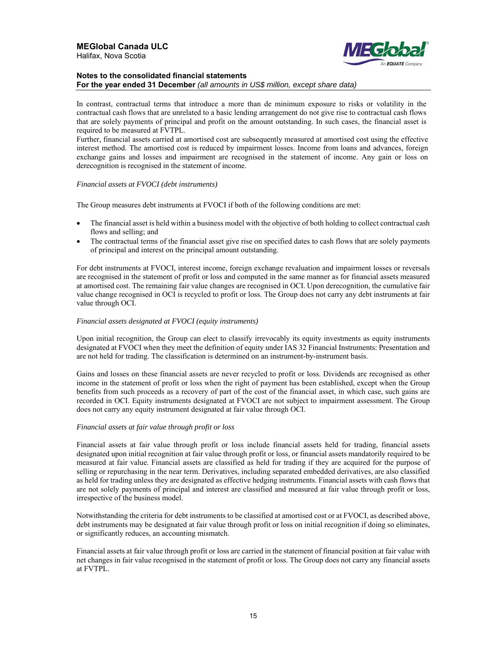

In contrast, contractual terms that introduce a more than de minimum exposure to risks or volatility in the contractual cash flows that are unrelated to a basic lending arrangement do not give rise to contractual cash flows that are solely payments of principal and profit on the amount outstanding. In such cases, the financial asset is required to be measured at FVTPL.

Further, financial assets carried at amortised cost are subsequently measured at amortised cost using the effective interest method. The amortised cost is reduced by impairment losses. Income from loans and advances, foreign exchange gains and losses and impairment are recognised in the statement of income. Any gain or loss on derecognition is recognised in the statement of income.

*Financial assets at FVOCI (debt instruments)* 

The Group measures debt instruments at FVOCI if both of the following conditions are met:

- The financial asset is held within a business model with the objective of both holding to collect contractual cash flows and selling; and
- The contractual terms of the financial asset give rise on specified dates to cash flows that are solely payments of principal and interest on the principal amount outstanding.

For debt instruments at FVOCI, interest income, foreign exchange revaluation and impairment losses or reversals are recognised in the statement of profit or loss and computed in the same manner as for financial assets measured at amortised cost. The remaining fair value changes are recognised in OCI. Upon derecognition, the cumulative fair value change recognised in OCI is recycled to profit or loss. The Group does not carry any debt instruments at fair value through OCI.

#### *Financial assets designated at FVOCI (equity instruments)*

Upon initial recognition, the Group can elect to classify irrevocably its equity investments as equity instruments designated at FVOCI when they meet the definition of equity under IAS 32 Financial Instruments: Presentation and are not held for trading. The classification is determined on an instrument-by-instrument basis.

Gains and losses on these financial assets are never recycled to profit or loss. Dividends are recognised as other income in the statement of profit or loss when the right of payment has been established, except when the Group benefits from such proceeds as a recovery of part of the cost of the financial asset, in which case, such gains are recorded in OCI. Equity instruments designated at FVOCI are not subject to impairment assessment. The Group does not carry any equity instrument designated at fair value through OCI.

#### *Financial assets at fair value through profit or loss*

Financial assets at fair value through profit or loss include financial assets held for trading, financial assets designated upon initial recognition at fair value through profit or loss, or financial assets mandatorily required to be measured at fair value. Financial assets are classified as held for trading if they are acquired for the purpose of selling or repurchasing in the near term. Derivatives, including separated embedded derivatives, are also classified as held for trading unless they are designated as effective hedging instruments. Financial assets with cash flows that are not solely payments of principal and interest are classified and measured at fair value through profit or loss, irrespective of the business model.

Notwithstanding the criteria for debt instruments to be classified at amortised cost or at FVOCI, as described above, debt instruments may be designated at fair value through profit or loss on initial recognition if doing so eliminates, or significantly reduces, an accounting mismatch.

Financial assets at fair value through profit or loss are carried in the statement of financial position at fair value with net changes in fair value recognised in the statement of profit or loss. The Group does not carry any financial assets at FVTPL.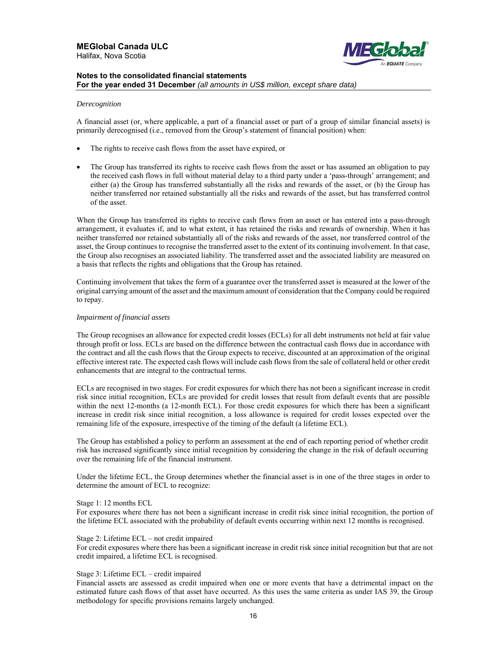

#### *Derecognition*

A financial asset (or, where applicable, a part of a financial asset or part of a group of similar financial assets) is primarily derecognised (i.e., removed from the Group's statement of financial position) when:

- The rights to receive cash flows from the asset have expired, or
- The Group has transferred its rights to receive cash flows from the asset or has assumed an obligation to pay the received cash flows in full without material delay to a third party under a 'pass-through' arrangement; and either (a) the Group has transferred substantially all the risks and rewards of the asset, or (b) the Group has neither transferred nor retained substantially all the risks and rewards of the asset, but has transferred control of the asset.

When the Group has transferred its rights to receive cash flows from an asset or has entered into a pass-through arrangement, it evaluates if, and to what extent, it has retained the risks and rewards of ownership. When it has neither transferred nor retained substantially all of the risks and rewards of the asset, nor transferred control of the asset, the Group continues to recognise the transferred asset to the extent of its continuing involvement. In that case, the Group also recognises an associated liability. The transferred asset and the associated liability are measured on a basis that reflects the rights and obligations that the Group has retained.

Continuing involvement that takes the form of a guarantee over the transferred asset is measured at the lower of the original carrying amount of the asset and the maximum amount of consideration that the Company could be required to repay.

#### *Impairment of financial assets*

The Group recognises an allowance for expected credit losses (ECLs) for all debt instruments not held at fair value through profit or loss. ECLs are based on the difference between the contractual cash flows due in accordance with the contract and all the cash flows that the Group expects to receive, discounted at an approximation of the original effective interest rate. The expected cash flows will include cash flows from the sale of collateral held or other credit enhancements that are integral to the contractual terms.

ECLs are recognised in two stages. For credit exposures for which there has not been a significant increase in credit risk since initial recognition, ECLs are provided for credit losses that result from default events that are possible within the next 12-months (a 12-month ECL). For those credit exposures for which there has been a significant increase in credit risk since initial recognition, a loss allowance is required for credit losses expected over the remaining life of the exposure, irrespective of the timing of the default (a lifetime ECL).

The Group has established a policy to perform an assessment at the end of each reporting period of whether credit risk has increased significantly since initial recognition by considering the change in the risk of default occurring over the remaining life of the financial instrument.

Under the lifetime ECL, the Group determines whether the financial asset is in one of the three stages in order to determine the amount of ECL to recognize:

#### Stage 1: 12 months ECL

For exposures where there has not been a significant increase in credit risk since initial recognition, the portion of the lifetime ECL associated with the probability of default events occurring within next 12 months is recognised.

#### Stage 2: Lifetime ECL – not credit impaired

For credit exposures where there has been a significant increase in credit risk since initial recognition but that are not credit impaired, a lifetime ECL is recognised.

#### Stage 3: Lifetime ECL – credit impaired

Financial assets are assessed as credit impaired when one or more events that have a detrimental impact on the estimated future cash flows of that asset have occurred. As this uses the same criteria as under IAS 39, the Group methodology for specific provisions remains largely unchanged.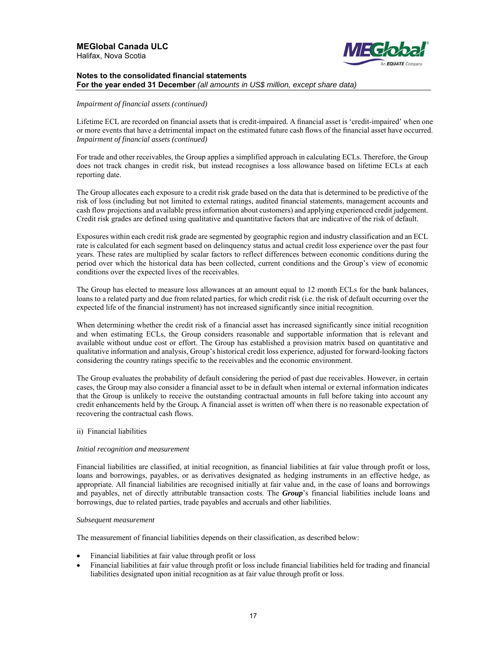

#### *Impairment of financial assets (continued)*

Lifetime ECL are recorded on financial assets that is credit-impaired. A financial asset is 'credit-impaired' when one or more events that have a detrimental impact on the estimated future cash flows of the financial asset have occurred. *Impairment of financial assets (continued)* 

For trade and other receivables, the Group applies a simplified approach in calculating ECLs. Therefore, the Group does not track changes in credit risk, but instead recognises a loss allowance based on lifetime ECLs at each reporting date.

The Group allocates each exposure to a credit risk grade based on the data that is determined to be predictive of the risk of loss (including but not limited to external ratings, audited financial statements, management accounts and cash flow projections and available press information about customers) and applying experienced credit judgement. Credit risk grades are defined using qualitative and quantitative factors that are indicative of the risk of default.

Exposures within each credit risk grade are segmented by geographic region and industry classification and an ECL rate is calculated for each segment based on delinquency status and actual credit loss experience over the past four years. These rates are multiplied by scalar factors to reflect differences between economic conditions during the period over which the historical data has been collected, current conditions and the Group's view of economic conditions over the expected lives of the receivables.

The Group has elected to measure loss allowances at an amount equal to 12 month ECLs for the bank balances, loans to a related party and due from related parties, for which credit risk (i.e. the risk of default occurring over the expected life of the financial instrument) has not increased significantly since initial recognition.

When determining whether the credit risk of a financial asset has increased significantly since initial recognition and when estimating ECLs, the Group considers reasonable and supportable information that is relevant and available without undue cost or effort. The Group has established a provision matrix based on quantitative and qualitative information and analysis, Group's historical credit loss experience, adjusted for forward-looking factors considering the country ratings specific to the receivables and the economic environment.

The Group evaluates the probability of default considering the period of past due receivables. However, in certain cases, the Group may also consider a financial asset to be in default when internal or external information indicates that the Group is unlikely to receive the outstanding contractual amounts in full before taking into account any credit enhancements held by the Group*.* A financial asset is written off when there is no reasonable expectation of recovering the contractual cash flows.

#### ii) Financial liabilities

#### *Initial recognition and measurement*

Financial liabilities are classified, at initial recognition, as financial liabilities at fair value through profit or loss, loans and borrowings, payables, or as derivatives designated as hedging instruments in an effective hedge, as appropriate. All financial liabilities are recognised initially at fair value and, in the case of loans and borrowings and payables, net of directly attributable transaction costs. The *Group*'s financial liabilities include loans and borrowings, due to related parties, trade payables and accruals and other liabilities.

#### *Subsequent measurement*

The measurement of financial liabilities depends on their classification, as described below:

- Financial liabilities at fair value through profit or loss
- Financial liabilities at fair value through profit or loss include financial liabilities held for trading and financial liabilities designated upon initial recognition as at fair value through profit or loss.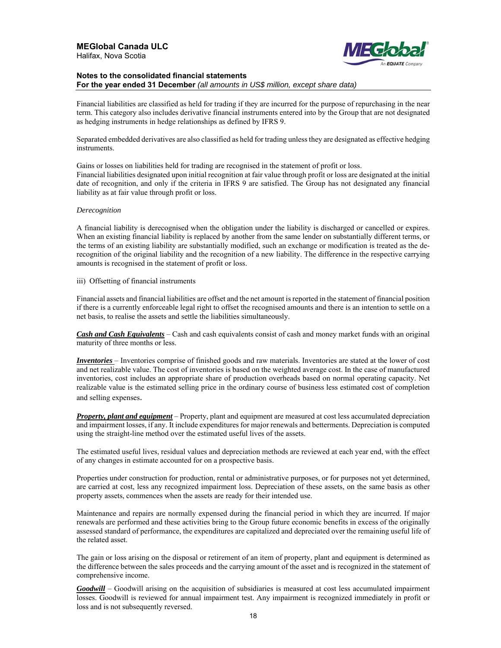

Financial liabilities are classified as held for trading if they are incurred for the purpose of repurchasing in the near term. This category also includes derivative financial instruments entered into by the Group that are not designated as hedging instruments in hedge relationships as defined by IFRS 9.

Separated embedded derivatives are also classified as held for trading unless they are designated as effective hedging instruments.

Gains or losses on liabilities held for trading are recognised in the statement of profit or loss. Financial liabilities designated upon initial recognition at fair value through profit or loss are designated at the initial date of recognition, and only if the criteria in IFRS 9 are satisfied. The Group has not designated any financial liability as at fair value through profit or loss.

#### *Derecognition*

A financial liability is derecognised when the obligation under the liability is discharged or cancelled or expires. When an existing financial liability is replaced by another from the same lender on substantially different terms, or the terms of an existing liability are substantially modified, such an exchange or modification is treated as the derecognition of the original liability and the recognition of a new liability. The difference in the respective carrying amounts is recognised in the statement of profit or loss.

iii) Offsetting of financial instruments

Financial assets and financial liabilities are offset and the net amount is reported in the statement of financial position if there is a currently enforceable legal right to offset the recognised amounts and there is an intention to settle on a net basis, to realise the assets and settle the liabilities simultaneously.

*Cash and Cash Equivalents* – Cash and cash equivalents consist of cash and money market funds with an original maturity of three months or less.

*Inventories* – Inventories comprise of finished goods and raw materials. Inventories are stated at the lower of cost and net realizable value. The cost of inventories is based on the weighted average cost. In the case of manufactured inventories, cost includes an appropriate share of production overheads based on normal operating capacity. Net realizable value is the estimated selling price in the ordinary course of business less estimated cost of completion and selling expenses.

*Property, plant and equipment* – Property, plant and equipment are measured at cost less accumulated depreciation and impairment losses, if any. It include expenditures for major renewals and betterments. Depreciation is computed using the straight-line method over the estimated useful lives of the assets.

The estimated useful lives, residual values and depreciation methods are reviewed at each year end, with the effect of any changes in estimate accounted for on a prospective basis.

Properties under construction for production, rental or administrative purposes, or for purposes not yet determined, are carried at cost, less any recognized impairment loss. Depreciation of these assets, on the same basis as other property assets, commences when the assets are ready for their intended use.

Maintenance and repairs are normally expensed during the financial period in which they are incurred. If major renewals are performed and these activities bring to the Group future economic benefits in excess of the originally assessed standard of performance, the expenditures are capitalized and depreciated over the remaining useful life of the related asset.

The gain or loss arising on the disposal or retirement of an item of property, plant and equipment is determined as the difference between the sales proceeds and the carrying amount of the asset and is recognized in the statement of comprehensive income.

*Goodwill* – Goodwill arising on the acquisition of subsidiaries is measured at cost less accumulated impairment losses. Goodwill is reviewed for annual impairment test. Any impairment is recognized immediately in profit or loss and is not subsequently reversed.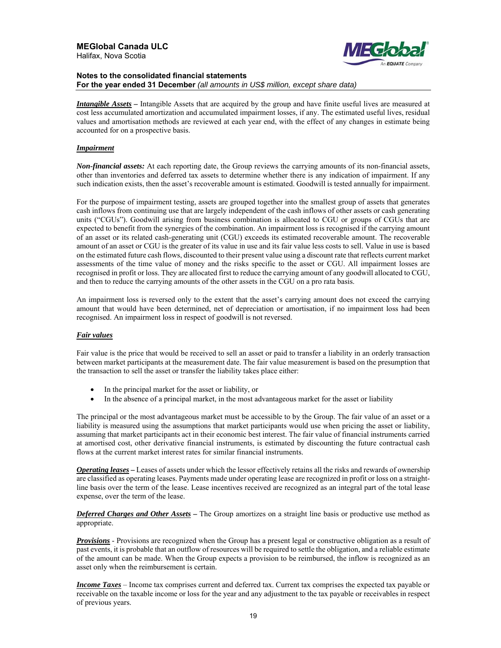

*Intangible Assets –* Intangible Assets that are acquired by the group and have finite useful lives are measured at cost less accumulated amortization and accumulated impairment losses, if any. The estimated useful lives, residual values and amortisation methods are reviewed at each year end, with the effect of any changes in estimate being accounted for on a prospective basis.

#### *Impairment*

*Non-financial assets:* At each reporting date, the Group reviews the carrying amounts of its non-financial assets, other than inventories and deferred tax assets to determine whether there is any indication of impairment. If any such indication exists, then the asset's recoverable amount is estimated. Goodwill is tested annually for impairment.

For the purpose of impairment testing, assets are grouped together into the smallest group of assets that generates cash inflows from continuing use that are largely independent of the cash inflows of other assets or cash generating units ("CGUs"). Goodwill arising from business combination is allocated to CGU or groups of CGUs that are expected to benefit from the synergies of the combination. An impairment loss is recognised if the carrying amount of an asset or its related cash-generating unit (CGU) exceeds its estimated recoverable amount. The recoverable amount of an asset or CGU is the greater of its value in use and its fair value less costs to sell. Value in use is based on the estimated future cash flows, discounted to their present value using a discount rate that reflects current market assessments of the time value of money and the risks specific to the asset or CGU. All impairment losses are recognised in profit or loss. They are allocated first to reduce the carrying amount of any goodwill allocated to CGU, and then to reduce the carrying amounts of the other assets in the CGU on a pro rata basis.

An impairment loss is reversed only to the extent that the asset's carrying amount does not exceed the carrying amount that would have been determined, net of depreciation or amortisation, if no impairment loss had been recognised. An impairment loss in respect of goodwill is not reversed.

#### *Fair values*

Fair value is the price that would be received to sell an asset or paid to transfer a liability in an orderly transaction between market participants at the measurement date. The fair value measurement is based on the presumption that the transaction to sell the asset or transfer the liability takes place either:

- In the principal market for the asset or liability, or
- In the absence of a principal market, in the most advantageous market for the asset or liability

The principal or the most advantageous market must be accessible to by the Group. The fair value of an asset or a liability is measured using the assumptions that market participants would use when pricing the asset or liability, assuming that market participants act in their economic best interest. The fair value of financial instruments carried at amortised cost, other derivative financial instruments, is estimated by discounting the future contractual cash flows at the current market interest rates for similar financial instruments.

*Operating leases –* Leases of assets under which the lessor effectively retains all the risks and rewards of ownership are classified as operating leases. Payments made under operating lease are recognized in profit or loss on a straightline basis over the term of the lease. Lease incentives received are recognized as an integral part of the total lease expense, over the term of the lease.

*Deferred Charges and Other Assets –* The Group amortizes on a straight line basis or productive use method as appropriate.

*Provisions* - Provisions are recognized when the Group has a present legal or constructive obligation as a result of past events, it is probable that an outflow of resources will be required to settle the obligation, and a reliable estimate of the amount can be made. When the Group expects a provision to be reimbursed, the inflow is recognized as an asset only when the reimbursement is certain.

*Income Taxes* – Income tax comprises current and deferred tax. Current tax comprises the expected tax payable or receivable on the taxable income or loss for the year and any adjustment to the tax payable or receivables in respect of previous years.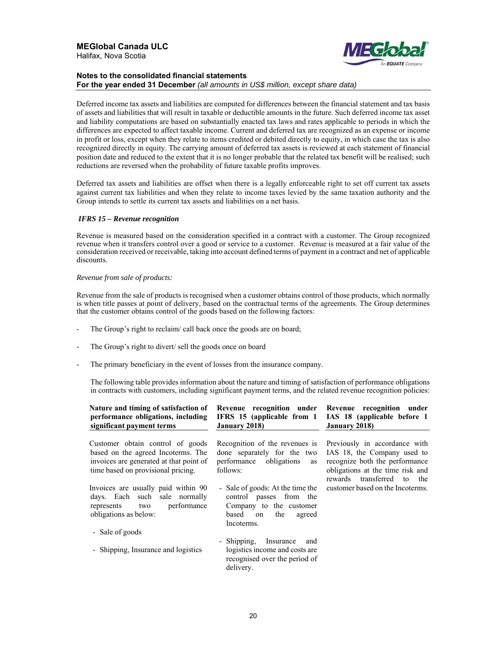

Deferred income tax assets and liabilities are computed for differences between the financial statement and tax basis of assets and liabilities that will result in taxable or deductible amounts in the future. Such deferred income tax asset and liability computations are based on substantially enacted tax laws and rates applicable to periods in which the differences are expected to affect taxable income. Current and deferred tax are recognized as an expense or income in profit or loss, except when they relate to items credited or debited directly to equity, in which case the tax is also recognized directly in equity. The carrying amount of deferred tax assets is reviewed at each statement of financial position date and reduced to the extent that it is no longer probable that the related tax benefit will be realised; such reductions are reversed when the probability of future taxable profits improves.

Deferred tax assets and liabilities are offset when there is a legally enforceable right to set off current tax assets against current tax liabilities and when they relate to income taxes levied by the same taxation authority and the Group intends to settle its current tax assets and liabilities on a net basis.

#### *IFRS 15 – Revenue recognition*

Revenue is measured based on the consideration specified in a contract with a customer. The Group recognized revenue when it transfers control over a good or service to a customer. Revenue is measured at a fair value of the consideration received or receivable, taking into account defined terms of payment in a contract and net of applicable discounts.

#### *Revenue from sale of products:*

Revenue from the sale of products is recognised when a customer obtains control of those products, which normally is when title passes at point of delivery, based on the contractual terms of the agreements. The Group determines that the customer obtains control of the goods based on the following factors:

- The Group's right to reclaim/ call back once the goods are on board;
- The Group's right to divert/ sell the goods once on board
- The primary beneficiary in the event of losses from the insurance company.

The following table provides information about the nature and timing of satisfaction of performance obligations in contracts with customers, including significant payment terms, and the related revenue recognition policies:

| Nature and timing of satisfaction of<br>performance obligations, including<br>significant payment terms                                                 | Revenue recognition under Revenue recognition<br>IFRS 15 (applicable from 1<br><b>January 2018)</b>                                  | under<br>IAS 18 (applicable before 1<br><b>January 2018)</b>                                                                                                     |
|---------------------------------------------------------------------------------------------------------------------------------------------------------|--------------------------------------------------------------------------------------------------------------------------------------|------------------------------------------------------------------------------------------------------------------------------------------------------------------|
| Customer obtain control of goods<br>based on the agreed Incoterms. The<br>invoices are generated at that point of<br>time based on provisional pricing. | Recognition of the revenues is<br>done separately for the two<br>performance obligations<br>as<br>follows:                           | Previously in accordance with<br>IAS 18, the Company used to<br>recognize both the performance<br>obligations at the time risk and<br>rewards transferred to the |
| Invoices are usually paid within 90<br>days. Each such sale normally<br>performance<br>represents<br>two<br>obligations as below:                       | - Sale of goods: At the time the<br>control passes from the<br>Company to the customer<br>based<br>the<br>on<br>agreed<br>Incoterms. | customer based on the Incoterms.                                                                                                                                 |
| - Sale of goods<br>- Shipping, Insurance and logistics                                                                                                  | - Shipping,<br>Insurance<br>and<br>logistics income and costs are<br>recognised over the period of<br>delivery.                      |                                                                                                                                                                  |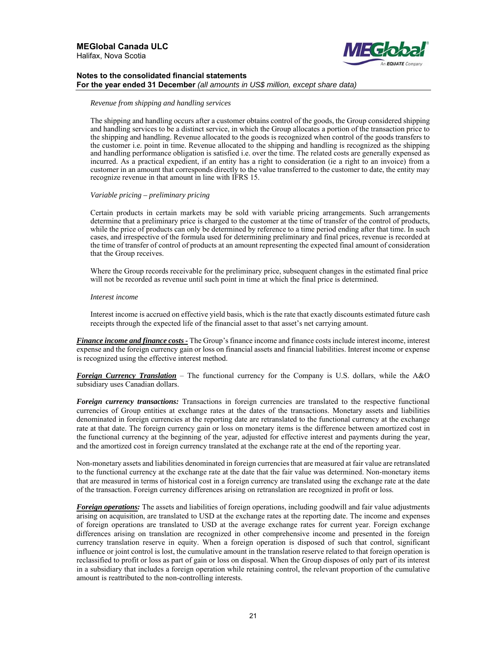

#### *Revenue from shipping and handling services*

The shipping and handling occurs after a customer obtains control of the goods, the Group considered shipping and handling services to be a distinct service, in which the Group allocates a portion of the transaction price to the shipping and handling. Revenue allocated to the goods is recognized when control of the goods transfers to the customer i.e. point in time. Revenue allocated to the shipping and handling is recognized as the shipping and handling performance obligation is satisfied i.e. over the time. The related costs are generally expensed as incurred. As a practical expedient, if an entity has a right to consideration (ie a right to an invoice) from a customer in an amount that corresponds directly to the value transferred to the customer to date, the entity may recognize revenue in that amount in line with IFRS 15.

#### *Variable pricing – preliminary pricing*

Certain products in certain markets may be sold with variable pricing arrangements. Such arrangements determine that a preliminary price is charged to the customer at the time of transfer of the control of products, while the price of products can only be determined by reference to a time period ending after that time. In such cases, and irrespective of the formula used for determining preliminary and final prices, revenue is recorded at the time of transfer of control of products at an amount representing the expected final amount of consideration that the Group receives.

Where the Group records receivable for the preliminary price, subsequent changes in the estimated final price will not be recorded as revenue until such point in time at which the final price is determined.

#### *Interest income*

Interest income is accrued on effective yield basis, which is the rate that exactly discounts estimated future cash receipts through the expected life of the financial asset to that asset's net carrying amount.

*Finance income and finance costs -* The Group's finance income and finance costs include interest income, interest expense and the foreign currency gain or loss on financial assets and financial liabilities. Interest income or expense is recognized using the effective interest method.

*Foreign Currency Translation* – The functional currency for the Company is U.S. dollars, while the A&O subsidiary uses Canadian dollars.

*Foreign currency transactions:* Transactions in foreign currencies are translated to the respective functional currencies of Group entities at exchange rates at the dates of the transactions. Monetary assets and liabilities denominated in foreign currencies at the reporting date are retranslated to the functional currency at the exchange rate at that date. The foreign currency gain or loss on monetary items is the difference between amortized cost in the functional currency at the beginning of the year, adjusted for effective interest and payments during the year, and the amortized cost in foreign currency translated at the exchange rate at the end of the reporting year.

Non-monetary assets and liabilities denominated in foreign currencies that are measured at fair value are retranslated to the functional currency at the exchange rate at the date that the fair value was determined. Non-monetary items that are measured in terms of historical cost in a foreign currency are translated using the exchange rate at the date of the transaction. Foreign currency differences arising on retranslation are recognized in profit or loss.

*Foreign operations:* The assets and liabilities of foreign operations, including goodwill and fair value adjustments arising on acquisition, are translated to USD at the exchange rates at the reporting date. The income and expenses of foreign operations are translated to USD at the average exchange rates for current year. Foreign exchange differences arising on translation are recognized in other comprehensive income and presented in the foreign currency translation reserve in equity. When a foreign operation is disposed of such that control, significant influence or joint control is lost, the cumulative amount in the translation reserve related to that foreign operation is reclassified to profit or loss as part of gain or loss on disposal. When the Group disposes of only part of its interest in a subsidiary that includes a foreign operation while retaining control, the relevant proportion of the cumulative amount is reattributed to the non-controlling interests.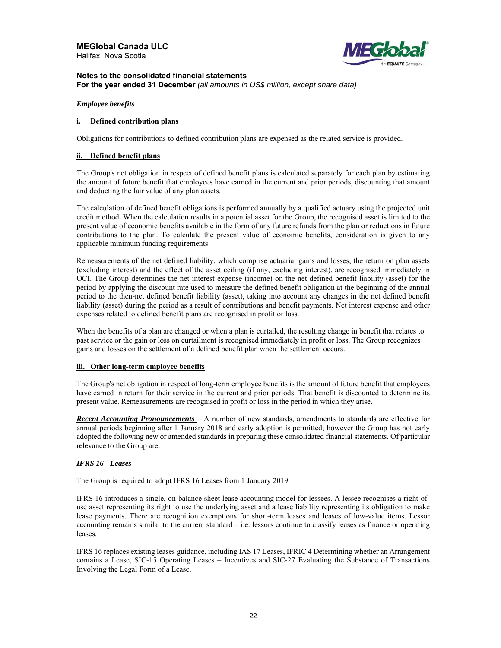

#### *Employee benefits*

#### **i. Defined contribution plans**

Obligations for contributions to defined contribution plans are expensed as the related service is provided.

#### **ii. Defined benefit plans**

The Group's net obligation in respect of defined benefit plans is calculated separately for each plan by estimating the amount of future benefit that employees have earned in the current and prior periods, discounting that amount and deducting the fair value of any plan assets.

The calculation of defined benefit obligations is performed annually by a qualified actuary using the projected unit credit method. When the calculation results in a potential asset for the Group, the recognised asset is limited to the present value of economic benefits available in the form of any future refunds from the plan or reductions in future contributions to the plan. To calculate the present value of economic benefits, consideration is given to any applicable minimum funding requirements.

Remeasurements of the net defined liability, which comprise actuarial gains and losses, the return on plan assets (excluding interest) and the effect of the asset ceiling (if any, excluding interest), are recognised immediately in OCI. The Group determines the net interest expense (income) on the net defined benefit liability (asset) for the period by applying the discount rate used to measure the defined benefit obligation at the beginning of the annual period to the then-net defined benefit liability (asset), taking into account any changes in the net defined benefit liability (asset) during the period as a result of contributions and benefit payments. Net interest expense and other expenses related to defined benefit plans are recognised in profit or loss.

When the benefits of a plan are changed or when a plan is curtailed, the resulting change in benefit that relates to past service or the gain or loss on curtailment is recognised immediately in profit or loss. The Group recognizes gains and losses on the settlement of a defined benefit plan when the settlement occurs.

#### **iii. Other long-term employee benefits**

The Group's net obligation in respect of long-term employee benefits is the amount of future benefit that employees have earned in return for their service in the current and prior periods. That benefit is discounted to determine its present value. Remeasurements are recognised in profit or loss in the period in which they arise.

*Recent Accounting Pronouncements* – A number of new standards, amendments to standards are effective for annual periods beginning after 1 January 2018 and early adoption is permitted; however the Group has not early adopted the following new or amended standards in preparing these consolidated financial statements. Of particular relevance to the Group are:

#### *IFRS 16 - Leases*

The Group is required to adopt IFRS 16 Leases from 1 January 2019.

IFRS 16 introduces a single, on-balance sheet lease accounting model for lessees. A lessee recognises a right-ofuse asset representing its right to use the underlying asset and a lease liability representing its obligation to make lease payments. There are recognition exemptions for short-term leases and leases of low-value items. Lessor accounting remains similar to the current standard – i.e. lessors continue to classify leases as finance or operating leases.

IFRS 16 replaces existing leases guidance, including IAS 17 Leases, IFRIC 4 Determining whether an Arrangement contains a Lease, SIC-15 Operating Leases – Incentives and SIC-27 Evaluating the Substance of Transactions Involving the Legal Form of a Lease.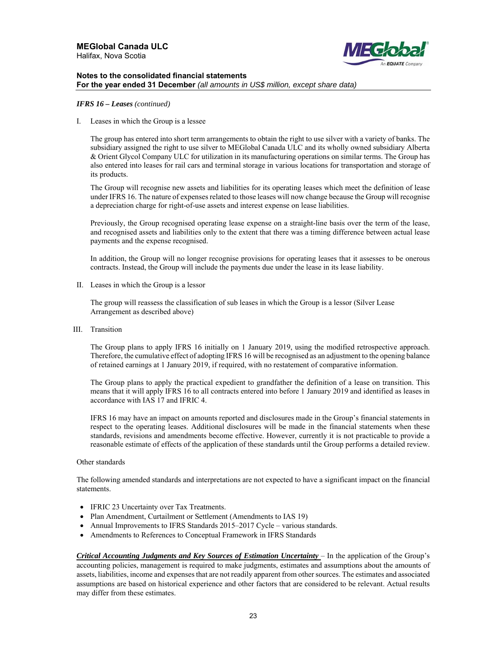

#### *IFRS 16 – Leases (continued)*

I. Leases in which the Group is a lessee

The group has entered into short term arrangements to obtain the right to use silver with a variety of banks. The subsidiary assigned the right to use silver to MEGlobal Canada ULC and its wholly owned subsidiary Alberta & Orient Glycol Company ULC for utilization in its manufacturing operations on similar terms. The Group has also entered into leases for rail cars and terminal storage in various locations for transportation and storage of its products.

The Group will recognise new assets and liabilities for its operating leases which meet the definition of lease under IFRS 16. The nature of expenses related to those leases will now change because the Group will recognise a depreciation charge for right-of-use assets and interest expense on lease liabilities.

Previously, the Group recognised operating lease expense on a straight-line basis over the term of the lease, and recognised assets and liabilities only to the extent that there was a timing difference between actual lease payments and the expense recognised.

In addition, the Group will no longer recognise provisions for operating leases that it assesses to be onerous contracts. Instead, the Group will include the payments due under the lease in its lease liability.

II. Leases in which the Group is a lessor

The group will reassess the classification of sub leases in which the Group is a lessor (Silver Lease Arrangement as described above)

III. Transition

The Group plans to apply IFRS 16 initially on 1 January 2019, using the modified retrospective approach. Therefore, the cumulative effect of adopting IFRS 16 will be recognised as an adjustment to the opening balance of retained earnings at 1 January 2019, if required, with no restatement of comparative information.

The Group plans to apply the practical expedient to grandfather the definition of a lease on transition. This means that it will apply IFRS 16 to all contracts entered into before 1 January 2019 and identified as leases in accordance with IAS 17 and IFRIC 4.

IFRS 16 may have an impact on amounts reported and disclosures made in the Group's financial statements in respect to the operating leases. Additional disclosures will be made in the financial statements when these standards, revisions and amendments become effective. However, currently it is not practicable to provide a reasonable estimate of effects of the application of these standards until the Group performs a detailed review.

#### Other standards

The following amended standards and interpretations are not expected to have a significant impact on the financial statements.

- IFRIC 23 Uncertainty over Tax Treatments.
- Plan Amendment, Curtailment or Settlement (Amendments to IAS 19)
- Annual Improvements to IFRS Standards 2015–2017 Cycle various standards.
- Amendments to References to Conceptual Framework in IFRS Standards

*Critical Accounting Judgments and Key Sources of Estimation Uncertainty –* In the application of the Group's accounting policies, management is required to make judgments, estimates and assumptions about the amounts of assets, liabilities, income and expenses that are not readily apparent from other sources. The estimates and associated assumptions are based on historical experience and other factors that are considered to be relevant. Actual results may differ from these estimates.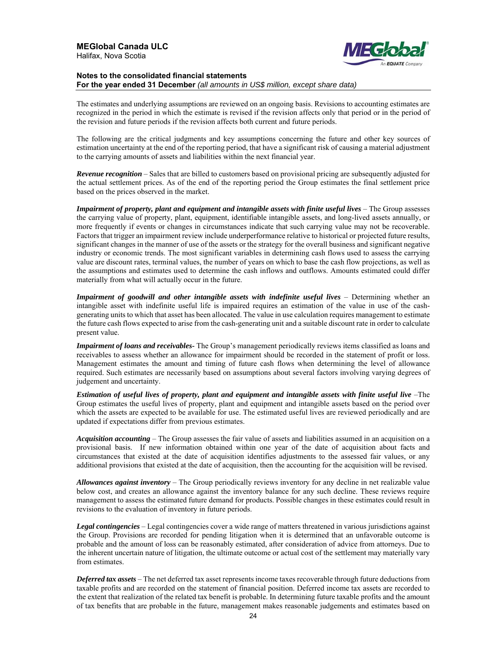

The estimates and underlying assumptions are reviewed on an ongoing basis. Revisions to accounting estimates are recognized in the period in which the estimate is revised if the revision affects only that period or in the period of the revision and future periods if the revision affects both current and future periods.

The following are the critical judgments and key assumptions concerning the future and other key sources of estimation uncertainty at the end of the reporting period, that have a significant risk of causing a material adjustment to the carrying amounts of assets and liabilities within the next financial year.

*Revenue recognition* – Sales that are billed to customers based on provisional pricing are subsequently adjusted for the actual settlement prices. As of the end of the reporting period the Group estimates the final settlement price based on the prices observed in the market.

*Impairment of property, plant and equipment and intangible assets with finite useful lives* – The Group assesses the carrying value of property, plant, equipment, identifiable intangible assets, and long-lived assets annually, or more frequently if events or changes in circumstances indicate that such carrying value may not be recoverable. Factors that trigger an impairment review include underperformance relative to historical or projected future results, significant changes in the manner of use of the assets or the strategy for the overall business and significant negative industry or economic trends. The most significant variables in determining cash flows used to assess the carrying value are discount rates, terminal values, the number of years on which to base the cash flow projections, as well as the assumptions and estimates used to determine the cash inflows and outflows. Amounts estimated could differ materially from what will actually occur in the future.

*Impairment of goodwill and other intangible assets with indefinite useful lives* – Determining whether an intangible asset with indefinite useful life is impaired requires an estimation of the value in use of the cashgenerating units to which that asset has been allocated. The value in use calculation requires management to estimate the future cash flows expected to arise from the cash-generating unit and a suitable discount rate in order to calculate present value.

*Impairment of loans and receivables-* The Group's management periodically reviews items classified as loans and receivables to assess whether an allowance for impairment should be recorded in the statement of profit or loss. Management estimates the amount and timing of future cash flows when determining the level of allowance required. Such estimates are necessarily based on assumptions about several factors involving varying degrees of judgement and uncertainty.

*Estimation of useful lives of property, plant and equipment and intangible assets with finite useful live* –The Group estimates the useful lives of property, plant and equipment and intangible assets based on the period over which the assets are expected to be available for use. The estimated useful lives are reviewed periodically and are updated if expectations differ from previous estimates.

*Acquisition accounting* – The Group assesses the fair value of assets and liabilities assumed in an acquisition on a provisional basis. If new information obtained within one year of the date of acquisition about facts and circumstances that existed at the date of acquisition identifies adjustments to the assessed fair values, or any additional provisions that existed at the date of acquisition, then the accounting for the acquisition will be revised.

*Allowances against inventory* – The Group periodically reviews inventory for any decline in net realizable value below cost, and creates an allowance against the inventory balance for any such decline. These reviews require management to assess the estimated future demand for products. Possible changes in these estimates could result in revisions to the evaluation of inventory in future periods.

*Legal contingencies* – Legal contingencies cover a wide range of matters threatened in various jurisdictions against the Group. Provisions are recorded for pending litigation when it is determined that an unfavorable outcome is probable and the amount of loss can be reasonably estimated, after consideration of advice from attorneys. Due to the inherent uncertain nature of litigation, the ultimate outcome or actual cost of the settlement may materially vary from estimates.

*Deferred tax assets* – The net deferred tax asset represents income taxes recoverable through future deductions from taxable profits and are recorded on the statement of financial position. Deferred income tax assets are recorded to the extent that realization of the related tax benefit is probable. In determining future taxable profits and the amount of tax benefits that are probable in the future, management makes reasonable judgements and estimates based on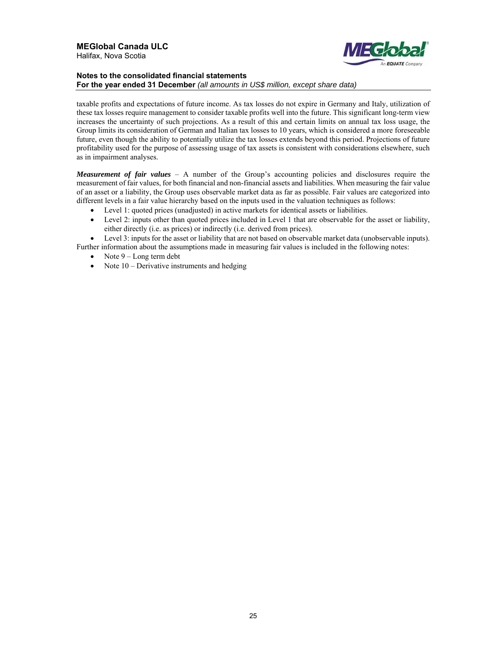

taxable profits and expectations of future income. As tax losses do not expire in Germany and Italy, utilization of these tax losses require management to consider taxable profits well into the future. This significant long-term view increases the uncertainty of such projections. As a result of this and certain limits on annual tax loss usage, the Group limits its consideration of German and Italian tax losses to 10 years, which is considered a more foreseeable future, even though the ability to potentially utilize the tax losses extends beyond this period. Projections of future profitability used for the purpose of assessing usage of tax assets is consistent with considerations elsewhere, such as in impairment analyses.

*Measurement of fair values* – A number of the Group's accounting policies and disclosures require the measurement of fair values, for both financial and non-financial assets and liabilities. When measuring the fair value of an asset or a liability, the Group uses observable market data as far as possible. Fair values are categorized into different levels in a fair value hierarchy based on the inputs used in the valuation techniques as follows:

- Level 1: quoted prices (unadjusted) in active markets for identical assets or liabilities.
- Level 2: inputs other than quoted prices included in Level 1 that are observable for the asset or liability, either directly (i.e. as prices) or indirectly (i.e. derived from prices).

 Level 3: inputs for the asset or liability that are not based on observable market data (unobservable inputs). Further information about the assumptions made in measuring fair values is included in the following notes:

- $\bullet$  Note  $9$  Long term debt
- Note  $10$  Derivative instruments and hedging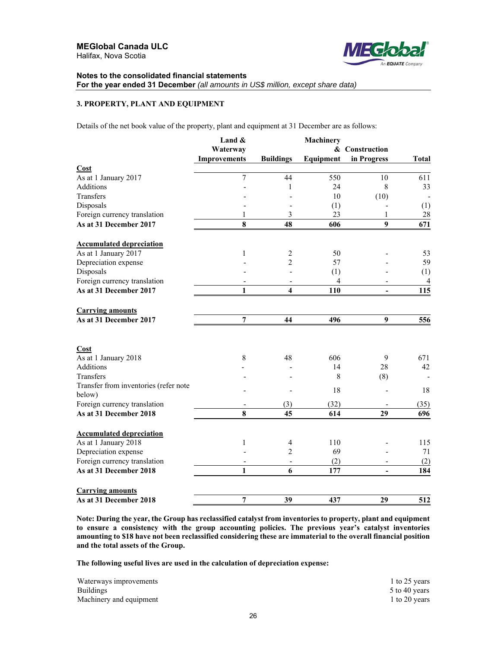

#### **3. PROPERTY, PLANT AND EQUIPMENT**

Details of the net book value of the property, plant and equipment at 31 December are as follows:

|                                                 | Land $\&$                |                          | Machinery |                          |                |
|-------------------------------------------------|--------------------------|--------------------------|-----------|--------------------------|----------------|
|                                                 | Waterway                 |                          |           | & Construction           |                |
|                                                 | <b>Improvements</b>      | <b>Buildings</b>         | Equipment | in Progress              | <b>Total</b>   |
| Cost                                            |                          |                          |           |                          |                |
| As at 1 January 2017                            | 7                        | 44                       | 550       | 10                       | 611            |
| Additions                                       |                          | 1                        | 24        | 8                        | 33             |
| Transfers                                       |                          |                          | 10        | (10)                     |                |
| Disposals                                       |                          |                          | (1)       |                          | (1)            |
| Foreign currency translation                    | 1                        | 3                        | 23        | $\mathbf{1}$             | 28             |
| As at 31 December 2017                          | 8                        | 48                       | 606       | $\boldsymbol{9}$         | 671            |
| <b>Accumulated depreciation</b>                 |                          |                          |           |                          |                |
| As at 1 January 2017                            | 1                        | 2                        | 50        |                          | 53             |
| Depreciation expense                            |                          | 2                        | 57        |                          | 59             |
| Disposals                                       |                          | $\overline{\phantom{a}}$ | (1)       |                          | (1)            |
| Foreign currency translation                    |                          |                          | 4         |                          | $\overline{4}$ |
| As at 31 December 2017                          | 1                        | $\overline{\mathbf{4}}$  | 110       |                          | 115            |
| <b>Carrying amounts</b>                         |                          |                          |           |                          |                |
| As at 31 December 2017                          | $\overline{7}$           | 44                       | 496       | 9                        | 556            |
|                                                 |                          |                          |           |                          |                |
| Cost                                            |                          |                          |           |                          |                |
| As at 1 January 2018                            | 8                        | 48                       | 606       | 9                        | 671            |
| Additions<br>Transfers                          |                          |                          | 14        | 28                       | 42             |
|                                                 |                          |                          | 8         | (8)                      |                |
| Transfer from inventories (refer note<br>below) |                          |                          | 18        |                          | 18             |
| Foreign currency translation                    |                          | (3)                      | (32)      |                          | (35)           |
| As at 31 December 2018                          | 8                        | 45                       | 614       | 29                       | 696            |
| <b>Accumulated depreciation</b>                 |                          |                          |           |                          |                |
| As at 1 January 2018                            | $\mathbf{1}$             | 4                        | 110       |                          | 115            |
| Depreciation expense                            |                          | $\overline{2}$           | 69        |                          | 71             |
| Foreign currency translation                    | $\overline{\phantom{a}}$ | $\overline{\phantom{a}}$ | (2)       | $\overline{\phantom{a}}$ | (2)            |
| As at 31 December 2018                          | 1                        | 6                        | 177       | $\blacksquare$           | 184            |
| <b>Carrying amounts</b>                         |                          |                          |           |                          |                |
| As at 31 December 2018                          | $\overline{7}$           | 39                       | 437       | 29                       | 512            |

**Note: During the year, the Group has reclassified catalyst from inventories to property, plant and equipment to ensure a consistency with the group accounting policies. The previous year's catalyst inventories amounting to \$18 have not been reclassified considering these are immaterial to the overall financial position and the total assets of the Group.** 

**The following useful lives are used in the calculation of depreciation expense:** 

Waterways improvements 1 to 25 years 1 to 25 years 1. Buildings 5 to 40 years 5 to 40 years 5 to 40 years 5 to 40 years 5 to 40 years 5 to 40 years 1 to 20 years Machinery and equipment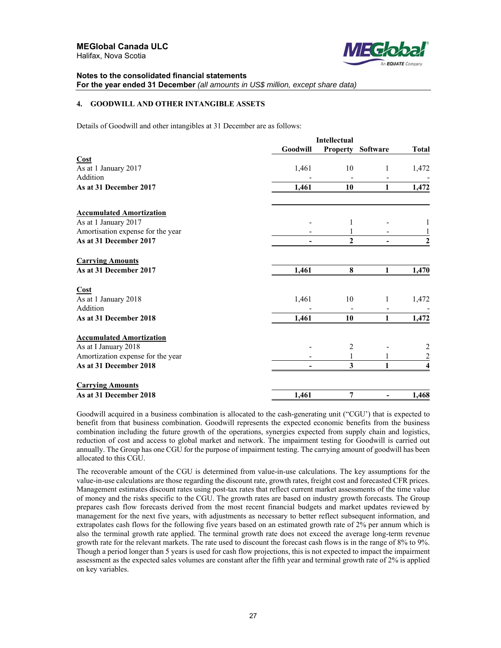

#### **4. GOODWILL AND OTHER INTANGIBLE ASSETS**

Details of Goodwill and other intangibles at 31 December are as follows:

|                                   | <b>Intellectual</b> |                 |                 |                         |
|-----------------------------------|---------------------|-----------------|-----------------|-------------------------|
|                                   | Goodwill            | <b>Property</b> | <b>Software</b> | <b>Total</b>            |
| <b>Cost</b>                       |                     |                 |                 |                         |
| As at 1 January 2017              | 1,461               | 10              | 1               | 1,472                   |
| Addition                          |                     |                 |                 |                         |
| As at 31 December 2017            | 1,461               | 10              | 1               | 1,472                   |
| <b>Accumulated Amortization</b>   |                     |                 |                 |                         |
| As at 1 January 2017              |                     |                 |                 |                         |
| Amortisation expense for the year |                     |                 |                 |                         |
| As at 31 December 2017            |                     | $\overline{2}$  |                 | $\overline{2}$          |
| <b>Carrying Amounts</b>           |                     |                 |                 |                         |
| As at 31 December 2017            | 1,461               | 8               | 1               | 1,470                   |
| Cost                              |                     |                 |                 |                         |
| As at 1 January 2018              | 1,461               | 10              | 1               | 1,472                   |
| Addition                          |                     |                 |                 |                         |
| As at 31 December 2018            | 1,461               | 10              | 1               | 1,472                   |
| <b>Accumulated Amortization</b>   |                     |                 |                 |                         |
| As at I January 2018              |                     | 2               |                 | $\overline{\mathbf{c}}$ |
| Amortization expense for the year |                     | 1               |                 | $\overline{2}$          |
| As at 31 December 2018            |                     | 3               | 1               | $\overline{\mathbf{4}}$ |
| <b>Carrying Amounts</b>           |                     |                 |                 |                         |
| As at 31 December 2018            | 1,461               | 7               |                 | 1,468                   |

Goodwill acquired in a business combination is allocated to the cash-generating unit ("CGU') that is expected to benefit from that business combination. Goodwill represents the expected economic benefits from the business combination including the future growth of the operations, synergies expected from supply chain and logistics, reduction of cost and access to global market and network. The impairment testing for Goodwill is carried out annually. The Group has one CGU for the purpose of impairment testing. The carrying amount of goodwill has been allocated to this CGU.

The recoverable amount of the CGU is determined from value-in-use calculations. The key assumptions for the value-in-use calculations are those regarding the discount rate, growth rates, freight cost and forecasted CFR prices. Management estimates discount rates using post-tax rates that reflect current market assessments of the time value of money and the risks specific to the CGU. The growth rates are based on industry growth forecasts. The Group prepares cash flow forecasts derived from the most recent financial budgets and market updates reviewed by management for the next five years, with adjustments as necessary to better reflect subsequent information, and extrapolates cash flows for the following five years based on an estimated growth rate of 2% per annum which is also the terminal growth rate applied. The terminal growth rate does not exceed the average long-term revenue growth rate for the relevant markets. The rate used to discount the forecast cash flows is in the range of 8% to 9%. Though a period longer than 5 years is used for cash flow projections, this is not expected to impact the impairment assessment as the expected sales volumes are constant after the fifth year and terminal growth rate of 2% is applied on key variables.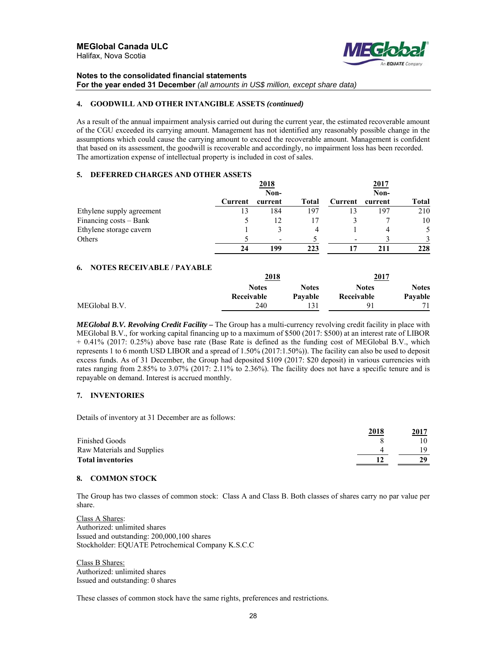

#### **4. GOODWILL AND OTHER INTANGIBLE ASSETS** *(continued)*

As a result of the annual impairment analysis carried out during the current year, the estimated recoverable amount of the CGU exceeded its carrying amount. Management has not identified any reasonably possible change in the assumptions which could cause the carrying amount to exceed the recoverable amount. Management is confident that based on its assessment, the goodwill is recoverable and accordingly, no impairment loss has been recorded. The amortization expense of intellectual property is included in cost of sales.

#### **5. DEFERRED CHARGES AND OTHER ASSETS**

|                           | 2018    |         |       | 2017    |         |       |
|---------------------------|---------|---------|-------|---------|---------|-------|
|                           | Non-    |         |       | Non-    |         |       |
|                           | Current | current | Total | Current | current | Total |
| Ethylene supply agreement | 13      | 184     | 197   |         | 197     | 210   |
| Financing costs - Bank    |         | 12      |       |         |         | 10    |
| Ethylene storage cavern   |         |         | 4     |         |         |       |
| Others                    |         |         |       | ٠       |         |       |
|                           | 24      | 199     | 223   |         | 211     | 228   |

#### **6. NOTES RECEIVABLE / PAYABLE**

|               |              | 2018         |              | 2017         |  |
|---------------|--------------|--------------|--------------|--------------|--|
|               | <b>Notes</b> | <b>Notes</b> | <b>Notes</b> | <b>Notes</b> |  |
|               | Receivable   | Pavable      | Receivable   | Payable      |  |
| MEGlobal B.V. | 240          | 131          | Q 1          |              |  |

*MEGlobal B.V. Revolving Credit Facility –* The Group has a multi-currency revolving credit facility in place with MEGlobal B.V., for working capital financing up to a maximum of \$500 (2017: \$500) at an interest rate of LIBOR + 0.41% (2017: 0.25%) above base rate (Base Rate is defined as the funding cost of MEGlobal B.V., which represents 1 to 6 month USD LIBOR and a spread of 1.50% (2017:1.50%)). The facility can also be used to deposit excess funds. As of 31 December, the Group had deposited \$109 (2017: \$20 deposit) in various currencies with rates ranging from 2.85% to 3.07% (2017: 2.11% to 2.36%). The facility does not have a specific tenure and is repayable on demand. Interest is accrued monthly.

#### **7. INVENTORIES**

Details of inventory at 31 December are as follows:

| 2018                       | <u>2017</u> |
|----------------------------|-------------|
| <b>Finished Goods</b>      | 10          |
| Raw Materials and Supplies | 1 Q         |
| <b>Total inventories</b>   |             |

#### **8. COMMON STOCK**

The Group has two classes of common stock: Class A and Class B. Both classes of shares carry no par value per share.

Class A Shares: Authorized: unlimited shares Issued and outstanding: 200,000,100 shares Stockholder: EQUATE Petrochemical Company K.S.C.C

Class B Shares: Authorized: unlimited shares Issued and outstanding: 0 shares

These classes of common stock have the same rights, preferences and restrictions.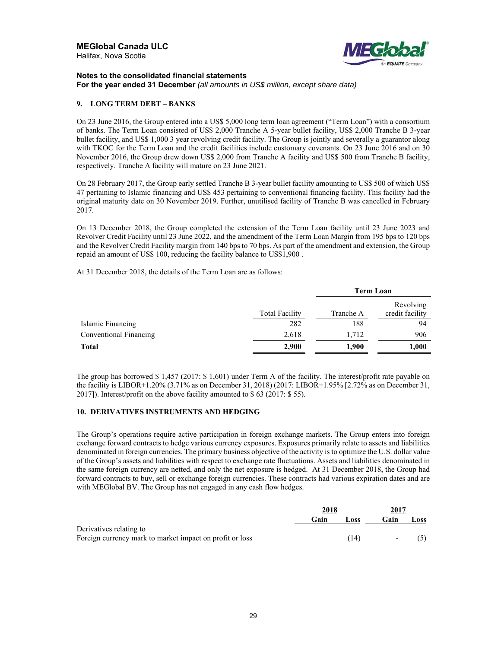

#### **9. LONG TERM DEBT – BANKS**

On 23 June 2016, the Group entered into a US\$ 5,000 long term loan agreement ("Term Loan") with a consortium of banks. The Term Loan consisted of US\$ 2,000 Tranche A 5-year bullet facility, US\$ 2,000 Tranche B 3-year bullet facility, and US\$ 1,000 3 year revolving credit facility. The Group is jointly and severally a guarantor along with TKOC for the Term Loan and the credit facilities include customary covenants. On 23 June 2016 and on 30 November 2016, the Group drew down US\$ 2,000 from Tranche A facility and US\$ 500 from Tranche B facility, respectively. Tranche A facility will mature on 23 June 2021.

On 28 February 2017, the Group early settled Tranche B 3-year bullet facility amounting to US\$ 500 of which US\$ 47 pertaining to Islamic financing and US\$ 453 pertaining to conventional financing facility. This facility had the original maturity date on 30 November 2019. Further, unutilised facility of Tranche B was cancelled in February 2017.

On 13 December 2018, the Group completed the extension of the Term Loan facility until 23 June 2023 and Revolver Credit Facility until 23 June 2022, and the amendment of the Term Loan Margin from 195 bps to 120 bps and the Revolver Credit Facility margin from 140 bps to 70 bps. As part of the amendment and extension, the Group repaid an amount of US\$ 100, reducing the facility balance to US\$1,900 .

At 31 December 2018, the details of the Term Loan are as follows:

|                        |                       | <b>Term Loan</b> |                              |
|------------------------|-----------------------|------------------|------------------------------|
|                        | <b>Total Facility</b> | Tranche A        | Revolving<br>credit facility |
| Islamic Financing      | 282                   | 188              | 94                           |
| Conventional Financing | 2,618                 | 1.712            | 906                          |
| <b>Total</b>           | 2,900                 | 1,900            | 1,000                        |

The group has borrowed \$ 1,457 (2017: \$ 1,601) under Term A of the facility. The interest/profit rate payable on the facility is LIBOR+1.20% (3.71% as on December 31, 2018) (2017: LIBOR+1.95% [2.72% as on December 31, 2017]). Interest/profit on the above facility amounted to \$ 63 (2017: \$ 55).

#### **10. DERIVATIVES INSTRUMENTS AND HEDGING**

The Group's operations require active participation in foreign exchange markets. The Group enters into foreign exchange forward contracts to hedge various currency exposures. Exposures primarily relate to assets and liabilities denominated in foreign currencies. The primary business objective of the activity is to optimize the U.S. dollar value of the Group's assets and liabilities with respect to exchange rate fluctuations. Assets and liabilities denominated in the same foreign currency are netted, and only the net exposure is hedged. At 31 December 2018, the Group had forward contracts to buy, sell or exchange foreign currencies. These contracts had various expiration dates and are with MEGlobal BV. The Group has not engaged in any cash flow hedges.

|                                                          | 2018 |      | <u>2017</u> |      |
|----------------------------------------------------------|------|------|-------------|------|
|                                                          | Gain | Loss | Gain        | Loss |
| Derivatives relating to                                  |      |      |             |      |
| Foreign currency mark to market impact on profit or loss |      | (14) |             |      |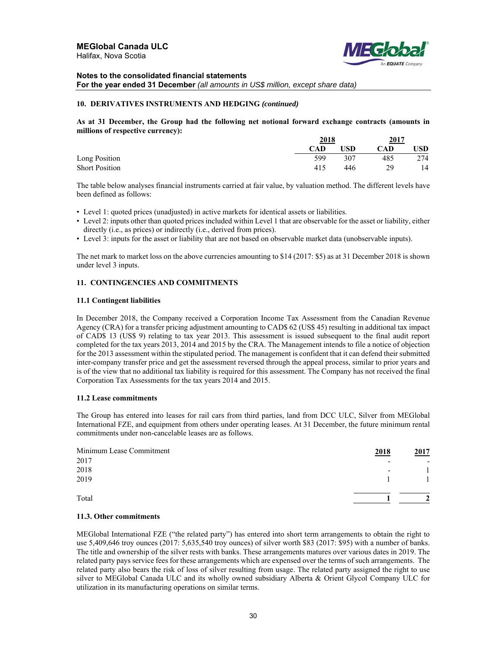

#### **Notes to the consolidated financial statements**

**For the year ended 31 December** *(all amounts in US\$ million, except share data)* 

#### **10. DERIVATIVES INSTRUMENTS AND HEDGING** *(continued)*

**As at 31 December, the Group had the following net notional forward exchange contracts (amounts in millions of respective currency):** 

|                       | 2018 |     | <u>2017</u> |     |
|-----------------------|------|-----|-------------|-----|
|                       | CAD  | USD | CAD         | USD |
| Long Position         | 599  | 307 | 485         | 274 |
| <b>Short Position</b> | 415  | 446 | 29          | 14  |

The table below analyses financial instruments carried at fair value, by valuation method. The different levels have been defined as follows:

- Level 1: quoted prices (unadjusted) in active markets for identical assets or liabilities.
- Level 2: inputs other than quoted prices included within Level 1 that are observable for the asset or liability, either directly (i.e., as prices) or indirectly (i.e., derived from prices).
- Level 3: inputs for the asset or liability that are not based on observable market data (unobservable inputs).

The net mark to market loss on the above currencies amounting to \$14 (2017: \$5) as at 31 December 2018 is shown under level 3 inputs.

#### **11. CONTINGENCIES AND COMMITMENTS**

#### **11.1 Contingent liabilities**

In December 2018, the Company received a Corporation Income Tax Assessment from the Canadian Revenue Agency (CRA) for a transfer pricing adjustment amounting to CAD\$ 62 (US\$ 45) resulting in additional tax impact of CAD\$ 13 (US\$ 9) relating to tax year 2013. This assessment is issued subsequent to the final audit report completed for the tax years 2013, 2014 and 2015 by the CRA. The Management intends to file a notice of objection for the 2013 assessment within the stipulated period. The management is confident that it can defend their submitted inter-company transfer price and get the assessment reversed through the appeal process, similar to prior years and is of the view that no additional tax liability is required for this assessment. The Company has not received the final Corporation Tax Assessments for the tax years 2014 and 2015.

#### **11.2 Lease commitments**

The Group has entered into leases for rail cars from third parties, land from DCC ULC, Silver from MEGlobal International FZE, and equipment from others under operating leases. At 31 December, the future minimum rental commitments under non-cancelable leases are as follows.

| Minimum Lease Commitment | 2018 | 2017 |
|--------------------------|------|------|
| 2017                     |      | -    |
| 2018                     | ۰    |      |
| 2019                     |      |      |
|                          |      |      |
| Total                    |      |      |
|                          |      |      |

#### **11.3. Other commitments**

MEGlobal International FZE ("the related party") has entered into short term arrangements to obtain the right to use 5,409,646 troy ounces (2017: 5,635,540 troy ounces) of silver worth \$83 (2017: \$95) with a number of banks. The title and ownership of the silver rests with banks. These arrangements matures over various dates in 2019. The related party pays service fees for these arrangements which are expensed over the terms of such arrangements. The related party also bears the risk of loss of silver resulting from usage. The related party assigned the right to use silver to MEGlobal Canada ULC and its wholly owned subsidiary Alberta & Orient Glycol Company ULC for utilization in its manufacturing operations on similar terms.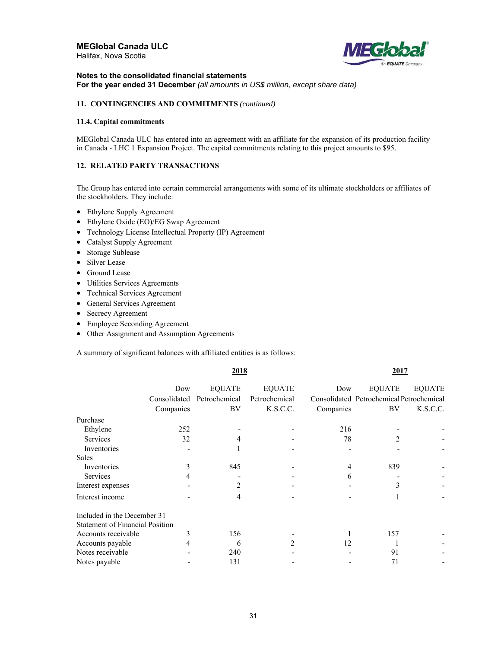

#### **11. CONTINGENCIES AND COMMITMENTS** *(continued)*

#### **11.4. Capital commitments**

MEGlobal Canada ULC has entered into an agreement with an affiliate for the expansion of its production facility in Canada - LHC 1 Expansion Project. The capital commitments relating to this project amounts to \$95.

#### **12. RELATED PARTY TRANSACTIONS**

The Group has entered into certain commercial arrangements with some of its ultimate stockholders or affiliates of the stockholders. They include:

- Ethylene Supply Agreement
- Ethylene Oxide (EO)/EG Swap Agreement
- Technology License Intellectual Property (IP) Agreement
- Catalyst Supply Agreement
- Storage Sublease
- Silver Lease
- Ground Lease
- Utilities Services Agreements
- Technical Services Agreement
- General Services Agreement
- Secrecy Agreement
- Employee Seconding Agreement
- Other Assignment and Assumption Agreements

A summary of significant balances with affiliated entities is as follows:

|                                        |              | 2018          |               |           | 2017                                     |               |
|----------------------------------------|--------------|---------------|---------------|-----------|------------------------------------------|---------------|
|                                        | Dow          | <b>EQUATE</b> | <b>EQUATE</b> | Dow       | <b>EQUATE</b>                            | <b>EQUATE</b> |
|                                        | Consolidated | Petrochemical | Petrochemical |           | Consolidated Petrochemical Petrochemical |               |
|                                        | Companies    | BV            | K.S.C.C.      | Companies | BV                                       | K.S.C.C.      |
| Purchase                               |              |               |               |           |                                          |               |
| Ethylene                               | 252          |               |               | 216       |                                          |               |
| Services                               | 32           | 4             |               | 78        | 2                                        |               |
| Inventories                            |              |               |               |           |                                          |               |
| <b>Sales</b>                           |              |               |               |           |                                          |               |
| Inventories                            | 3            | 845           |               | 4         | 839                                      |               |
| <b>Services</b>                        | 4            |               |               | 6         |                                          |               |
| Interest expenses                      |              | 2             |               |           | 3                                        |               |
| Interest income                        |              | 4             |               |           |                                          |               |
| Included in the December 31            |              |               |               |           |                                          |               |
| <b>Statement of Financial Position</b> |              |               |               |           |                                          |               |
| Accounts receivable                    | 3            | 156           |               |           | 157                                      |               |
| Accounts payable                       | 4            | 6             |               | 12        |                                          |               |
| Notes receivable                       |              | 240           |               |           | 91                                       |               |
| Notes payable                          |              | 131           |               |           | 71                                       |               |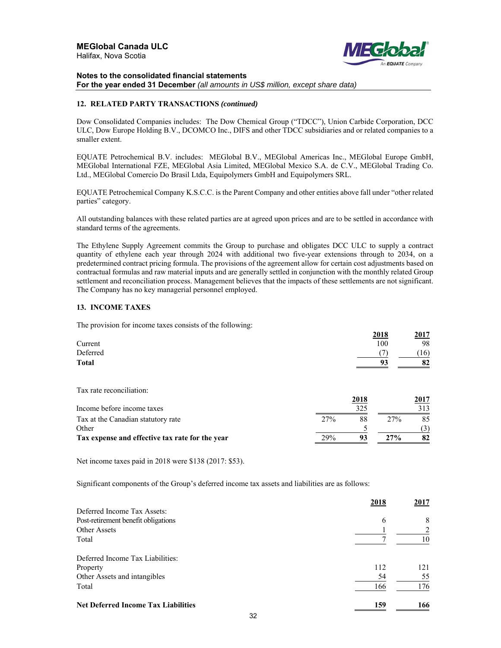

#### **12. RELATED PARTY TRANSACTIONS** *(continued)*

Dow Consolidated Companies includes: The Dow Chemical Group ("TDCC"), Union Carbide Corporation, DCC ULC, Dow Europe Holding B.V., DCOMCO Inc., DIFS and other TDCC subsidiaries and or related companies to a smaller extent.

EQUATE Petrochemical B.V. includes: MEGlobal B.V., MEGlobal Americas Inc., MEGlobal Europe GmbH, MEGlobal International FZE, MEGlobal Asia Limited, MEGlobal Mexico S.A. de C.V., MEGlobal Trading Co. Ltd., MEGlobal Comercio Do Brasil Ltda, Equipolymers GmbH and Equipolymers SRL.

EQUATE Petrochemical Company K.S.C.C. is the Parent Company and other entities above fall under "other related parties" category.

All outstanding balances with these related parties are at agreed upon prices and are to be settled in accordance with standard terms of the agreements.

The Ethylene Supply Agreement commits the Group to purchase and obligates DCC ULC to supply a contract quantity of ethylene each year through 2024 with additional two five-year extensions through to 2034, on a predetermined contract pricing formula. The provisions of the agreement allow for certain cost adjustments based on contractual formulas and raw material inputs and are generally settled in conjunction with the monthly related Group settlement and reconciliation process. Management believes that the impacts of these settlements are not significant. The Company has no key managerial personnel employed.

#### **13. INCOME TAXES**

The provision for income taxes consists of the following:

|              | 2018 | 2017 |
|--------------|------|------|
| Current      | 100  | 98   |
| Deferred     |      | (16) |
| <b>Total</b> | 93   | 82   |

Tax rate reconciliation:

|                                                 |         | 2018 |     | 2017 |
|-------------------------------------------------|---------|------|-----|------|
| Income before income taxes                      |         | 325  |     |      |
| Tax at the Canadian statutory rate              | $2.7\%$ | 88   | 27% | 85   |
| Other                                           |         |      |     |      |
| Tax expense and effective tax rate for the year | 2.9%    | 93   | 27% |      |

Net income taxes paid in 2018 were \$138 (2017: \$53).

Significant components of the Group's deferred income tax assets and liabilities are as follows:

|                                            | 2018 | 2017 |
|--------------------------------------------|------|------|
| Deferred Income Tax Assets:                |      |      |
| Post-retirement benefit obligations        | 6    | 8    |
| Other Assets                               |      |      |
| Total                                      |      | 10   |
| Deferred Income Tax Liabilities:           |      |      |
| Property                                   | 112  | 121  |
| Other Assets and intangibles               | 54   | 55   |
| Total                                      | 166  | 176  |
| <b>Net Deferred Income Tax Liabilities</b> | 159  | 166  |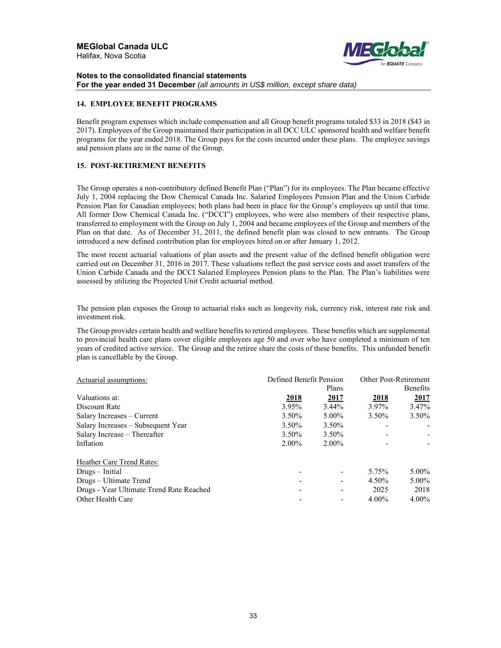

#### **14. EMPLOYEE BENEFIT PROGRAMS**

Benefit program expenses which include compensation and all Group benefit programs totaled \$33 in 2018 (\$43 in 2017). Employees of the Group maintained their participation in all DCC ULC sponsored health and welfare benefit programs for the year ended 2018. The Group pays for the costs incurred under these plans. The employee savings and pension plans are in the name of the Group.

#### **15. POST-RETIREMENT BENEFITS**

The Group operates a non-contributory defined Benefit Plan ("Plan") for its employees. The Plan became effective July 1, 2004 replacing the Dow Chemical Canada Inc. Salaried Employees Pension Plan and the Union Carbide Pension Plan for Canadian employees; both plans had been in place for the Group's employees up until that time. All former Dow Chemical Canada Inc. ("DCCI") employees, who were also members of their respective plans, transferred to employment with the Group on July 1, 2004 and became employees of the Group and members of the Plan on that date. As of December 31, 2011, the defined benefit plan was closed to new entrants. The Group introduced a new defined contribution plan for employees hired on or after January 1, 2012.

The most recent actuarial valuations of plan assets and the present value of the defined benefit obligation were carried out on December 31, 2016 in 2017. These valuations reflect the past service costs and asset transfers of the Union Carbide Canada and the DCCI Salaried Employees Pension plans to the Plan. The Plan's liabilities were assessed by utilizing the Projected Unit Credit actuarial method.

The pension plan exposes the Group to actuarial risks such as longevity risk, currency risk, interest rate risk and investment risk.

The Group provides certain health and welfare benefits to retired employees. These benefits which are supplemental to provincial health care plans cover eligible employees age 50 and over who have completed a minimum of ten years of credited active service. The Group and the retiree share the costs of these benefits. This unfunded benefit plan is cancellable by the Group.

| Actuarial assumptions:                   | Defined Benefit Pension |          | Other Post-Retirement |                 |
|------------------------------------------|-------------------------|----------|-----------------------|-----------------|
|                                          |                         | Plans    |                       | <b>Benefits</b> |
| Valuations at:                           | 2018                    | 2017     | 2018                  | 2017            |
| Discount Rate                            | 3.95%                   | $3.44\%$ | 3.97%                 | 3.47%           |
| Salary Increases – Current               | $3.50\%$                | $5.00\%$ | $3.50\%$              | 3.50%           |
| Salary Increases – Subsequent Year       | 3.50%                   | $3.50\%$ |                       |                 |
| Salary Increase – Thereafter             | $3.50\%$                | $3.50\%$ |                       |                 |
| Inflation                                | $2.00\%$                | $2.00\%$ |                       |                 |
| Heather Care Trend Rates:                |                         |          |                       |                 |
| Drugs – Initial                          |                         |          | 5.75%                 | 5.00%           |
| Drugs – Ultimate Trend                   |                         |          | 4.50%                 | 5.00%           |
| Drugs - Year Ultimate Trend Rate Reached |                         |          | 2025                  | 2018            |
| Other Health Care                        |                         |          | $4.00\%$              | $4.00\%$        |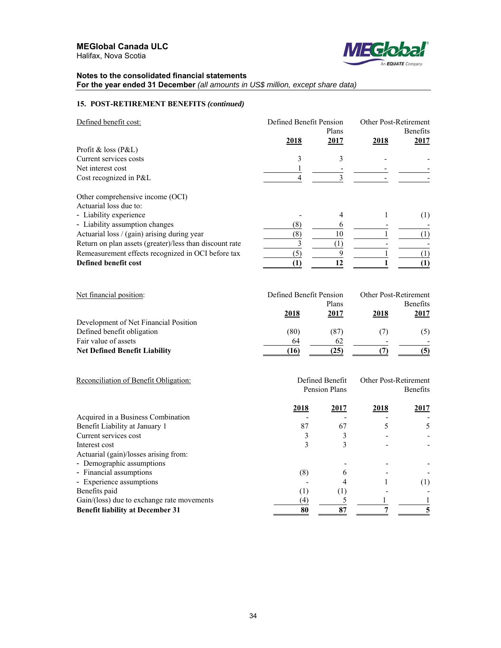

#### **15. POST-RETIREMENT BENEFITS** *(continued)*

| Defined benefit cost:                                   | Defined Benefit Pension | Plans |      | Other Post-Retirement<br><b>Benefits</b> |
|---------------------------------------------------------|-------------------------|-------|------|------------------------------------------|
|                                                         | 2018                    | 2017  | 2018 | 2017                                     |
| Profit & loss $(P&L)$                                   |                         |       |      |                                          |
| Current services costs                                  |                         |       |      |                                          |
| Net interest cost                                       |                         |       |      |                                          |
| Cost recognized in P&L                                  |                         |       |      |                                          |
| Other comprehensive income (OCI)                        |                         |       |      |                                          |
| Actuarial loss due to:                                  |                         |       |      |                                          |
| - Liability experience                                  |                         |       |      | (1)                                      |
| - Liability assumption changes                          | (8)                     |       |      |                                          |
| Actuarial loss / (gain) arising during year             | (8)                     | 10    |      |                                          |
| Return on plan assets (greater)/less than discount rate |                         |       |      |                                          |
| Remeasurement effects recognized in OCI before tax      | (5)                     |       |      |                                          |
| <b>Defined benefit cost</b>                             |                         |       |      |                                          |

| Net financial position:               |      | Defined Benefit Pension |      | Other Post-Retirement |  |
|---------------------------------------|------|-------------------------|------|-----------------------|--|
|                                       |      | Plans                   |      | <b>Benefits</b>       |  |
|                                       | 2018 | 2017                    | 2018 | <u>2017</u>           |  |
| Development of Net Financial Position |      |                         |      |                       |  |
| Defined benefit obligation            | (80) | (87)                    |      | (5)                   |  |
| Fair value of assets                  | 64   | 62                      | -    |                       |  |
| <b>Net Defined Benefit Liability</b>  | 16)  | (25)                    |      |                       |  |

| Reconciliation of Benefit Obligation:      |       | Defined Benefit<br>Pension Plans |      | Other Post-Retirement<br><b>Benefits</b> |  |
|--------------------------------------------|-------|----------------------------------|------|------------------------------------------|--|
|                                            | 2018  | 2017                             | 2018 | 2017                                     |  |
| Acquired in a Business Combination         |       |                                  |      |                                          |  |
| Benefit Liability at January 1             | 87    | 67                               |      |                                          |  |
| Current services cost                      |       |                                  |      |                                          |  |
| Interest cost                              |       |                                  |      |                                          |  |
| Actuarial (gain)/losses arising from:      |       |                                  |      |                                          |  |
| - Demographic assumptions                  |       |                                  |      |                                          |  |
| - Financial assumptions                    | (8)   | b                                |      |                                          |  |
| - Experience assumptions                   |       |                                  |      | (1)                                      |  |
| Benefits paid                              | ( I ) | (1)                              |      |                                          |  |
| Gain/(loss) due to exchange rate movements | (4)   |                                  |      |                                          |  |
| <b>Benefit liability at December 31</b>    | 80    | 87                               |      |                                          |  |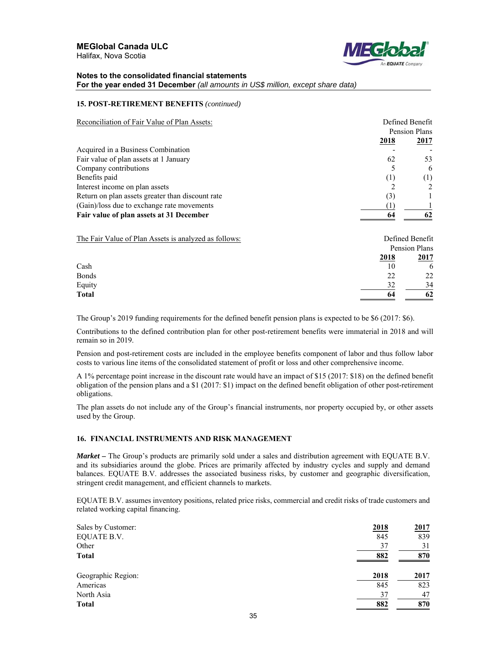

## **Notes to the consolidated financial statements**

**For the year ended 31 December** *(all amounts in US\$ million, except share data)* 

#### **15. POST-RETIREMENT BENEFITS** *(continued)*

| Reconciliation of Fair Value of Plan Assets:     | Defined Benefit |               |  |
|--------------------------------------------------|-----------------|---------------|--|
|                                                  |                 | Pension Plans |  |
|                                                  | 2018            | 2017          |  |
| Acquired in a Business Combination               |                 |               |  |
| Fair value of plan assets at 1 January           | 62              | 53            |  |
| Company contributions                            |                 | -6            |  |
| Benefits paid                                    | ( 1 )           | (1)           |  |
| Interest income on plan assets                   |                 |               |  |
| Return on plan assets greater than discount rate | (3)             |               |  |
| (Gain)/loss due to exchange rate movements       |                 |               |  |
| Fair value of plan assets at 31 December         | 64              | 62            |  |

| The Fair Value of Plan Assets is analyzed as follows: |               | Defined Benefit |
|-------------------------------------------------------|---------------|-----------------|
|                                                       | Pension Plans |                 |
|                                                       | 2018          | 2017            |
| Cash                                                  | 10            | 6               |
| <b>Bonds</b>                                          | 22            | 22              |
| Equity                                                | 32            | 34              |
| <b>Total</b>                                          | 64            | 62              |

The Group's 2019 funding requirements for the defined benefit pension plans is expected to be \$6 (2017: \$6).

Contributions to the defined contribution plan for other post-retirement benefits were immaterial in 2018 and will remain so in 2019.

Pension and post-retirement costs are included in the employee benefits component of labor and thus follow labor costs to various line items of the consolidated statement of profit or loss and other comprehensive income.

A 1% percentage point increase in the discount rate would have an impact of \$15 (2017: \$18) on the defined benefit obligation of the pension plans and a \$1 (2017: \$1) impact on the defined benefit obligation of other post-retirement obligations.

The plan assets do not include any of the Group's financial instruments, nor property occupied by, or other assets used by the Group.

#### **16. FINANCIAL INSTRUMENTS AND RISK MANAGEMENT**

*Market –* The Group's products are primarily sold under a sales and distribution agreement with EQUATE B.V. and its subsidiaries around the globe. Prices are primarily affected by industry cycles and supply and demand balances. EQUATE B.V. addresses the associated business risks, by customer and geographic diversification, stringent credit management, and efficient channels to markets.

EQUATE B.V. assumes inventory positions, related price risks, commercial and credit risks of trade customers and related working capital financing.

| Sales by Customer: | 2018 | 2017 |
|--------------------|------|------|
| EQUATE B.V.        | 845  | 839  |
| Other              | 37   | 31   |
| <b>Total</b>       | 882  | 870  |
|                    |      |      |
| Geographic Region: | 2018 | 2017 |
| Americas           | 845  | 823  |
| North Asia         | 37   | 47   |
| <b>Total</b>       | 882  | 870  |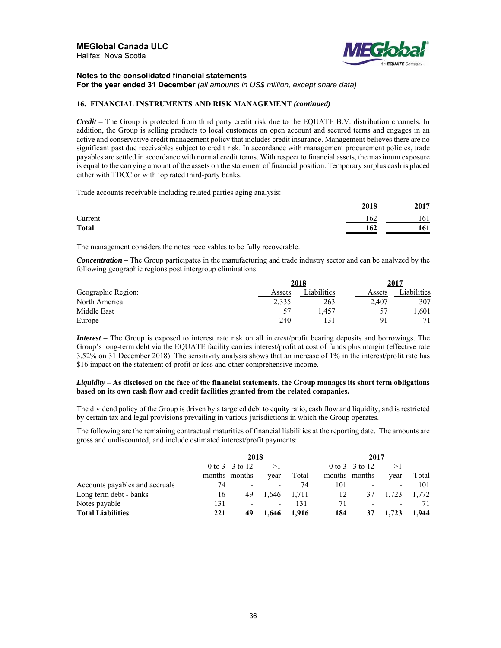

#### **16. FINANCIAL INSTRUMENTS AND RISK MANAGEMENT** *(continued)*

*Credit –* The Group is protected from third party credit risk due to the EQUATE B.V. distribution channels. In addition, the Group is selling products to local customers on open account and secured terms and engages in an active and conservative credit management policy that includes credit insurance. Management believes there are no significant past due receivables subject to credit risk. In accordance with management procurement policies, trade payables are settled in accordance with normal credit terms. With respect to financial assets, the maximum exposure is equal to the carrying amount of the assets on the statement of financial position. Temporary surplus cash is placed either with TDCC or with top rated third-party banks.

Trade accounts receivable including related parties aging analysis:

|              | 2018 | 2017 |
|--------------|------|------|
| Current      | 162  | 161  |
| <b>Total</b> | 162  | 161  |

The management considers the notes receivables to be fully recoverable.

*Concentration –* The Group participates in the manufacturing and trade industry sector and can be analyzed by the following geographic regions post intergroup eliminations:

|                    | 2018   |            |                | 2017       |  |
|--------------------|--------|------------|----------------|------------|--|
| Geographic Region: | Assets | iabilities | Assets         | iabilities |  |
| North America      | 2,335  | 263        | 2.407          | 307        |  |
| Middle East        | 57     | . 457      | 57             | .,601      |  |
| Europe             | 240    | 31         | Q <sub>1</sub> | 71         |  |

*Interest –* The Group is exposed to interest rate risk on all interest/profit bearing deposits and borrowings. The Group's long-term debt via the EQUATE facility carries interest/profit at cost of funds plus margin (effective rate 3.52% on 31 December 2018). The sensitivity analysis shows that an increase of 1% in the interest/profit rate has \$16 impact on the statement of profit or loss and other comprehensive income.

#### *Liquidity* **– As disclosed on the face of the financial statements, the Group manages its short term obligations based on its own cash flow and credit facilities granted from the related companies.**

The dividend policy of the Group is driven by a targeted debt to equity ratio, cash flow and liquidity, and is restricted by certain tax and legal provisions prevailing in various jurisdictions in which the Group operates.

The following are the remaining contractual maturities of financial liabilities at the reporting date. The amounts are gross and undiscounted, and include estimated interest/profit payments:

|                                | 2018 |                |       | 2017  |     |                          |                          |       |
|--------------------------------|------|----------------|-------|-------|-----|--------------------------|--------------------------|-------|
|                                |      | 0 to 3 3 to 12 | >1    |       |     | 0 to 3 3 to 12           | >1                       |       |
|                                |      | months months  | vear  | Total |     | months months            | vear                     | Total |
| Accounts payables and accruals | 74   |                |       | 74    | 101 |                          | $\overline{\phantom{0}}$ | 101   |
| Long term debt - banks         | 16   | 49             | 1.646 | 1.711 | 12  |                          | 1,723                    | 1,772 |
| Notes payable                  | 131  |                |       | 131   |     | $\overline{\phantom{a}}$ | $\overline{\phantom{a}}$ |       |
| <b>Total Liabilities</b>       | 221  | 49             | 1.646 | 1.916 | 184 | 37                       | 1.723                    | 1.944 |